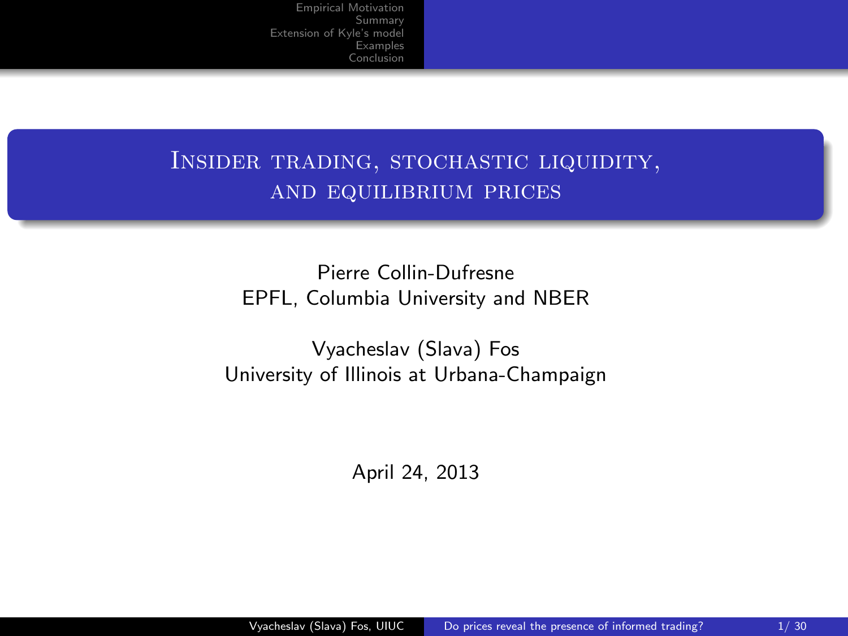# Insider trading, stochastic liquidity, and equilibrium prices

Pierre Collin-Dufresne EPFL, Columbia University and NBER

Vyacheslav (Slava) Fos University of Illinois at Urbana-Champaign

<span id="page-0-0"></span>April 24, 2013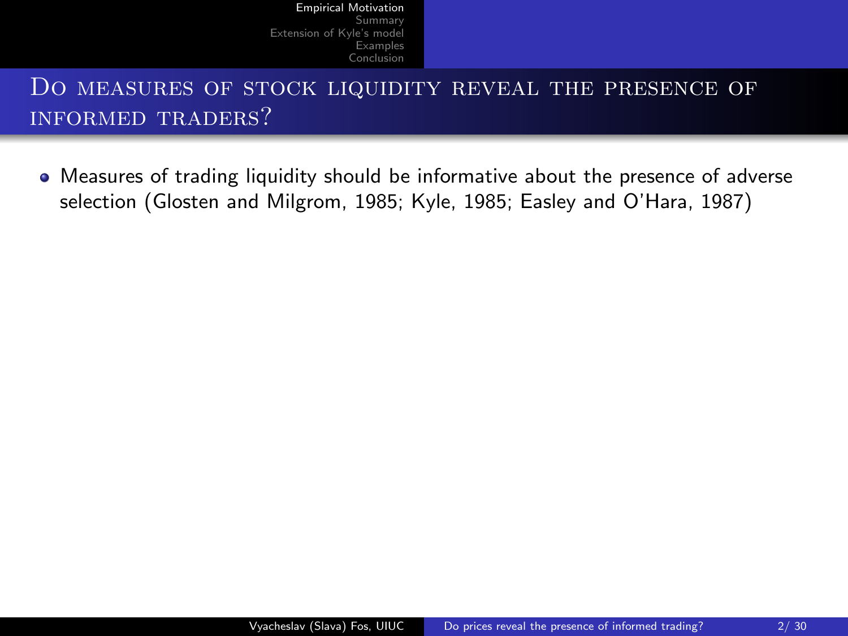Do measures of stock liquidity reveal the presence of informed traders?

<span id="page-1-0"></span>Measures of trading liquidity should be informative about the presence of adverse selection (Glosten and Milgrom, 1985; Kyle, 1985; Easley and O'Hara, 1987)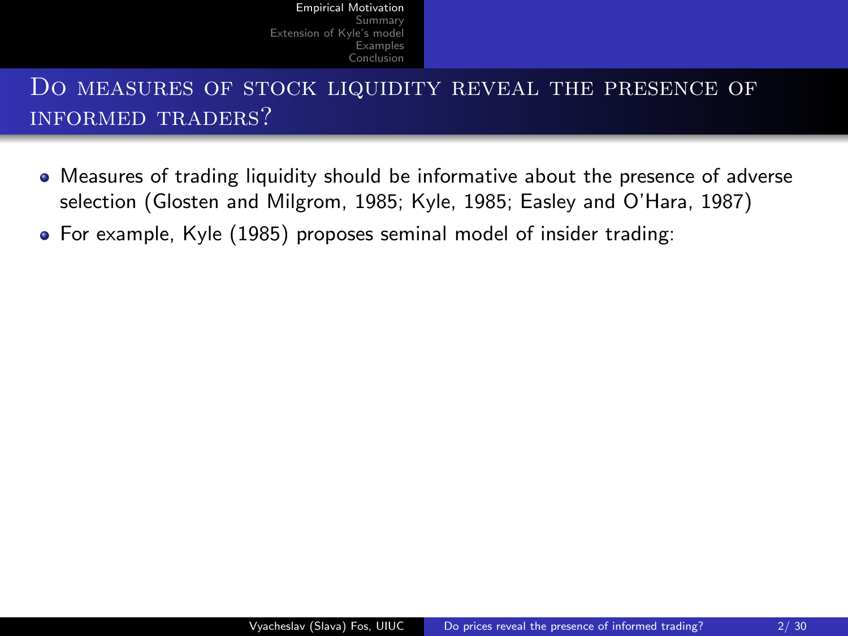- Measures of trading liquidity should be informative about the presence of adverse selection (Glosten and Milgrom, 1985; Kyle, 1985; Easley and O'Hara, 1987)
- For example, Kyle (1985) proposes seminal model of insider trading: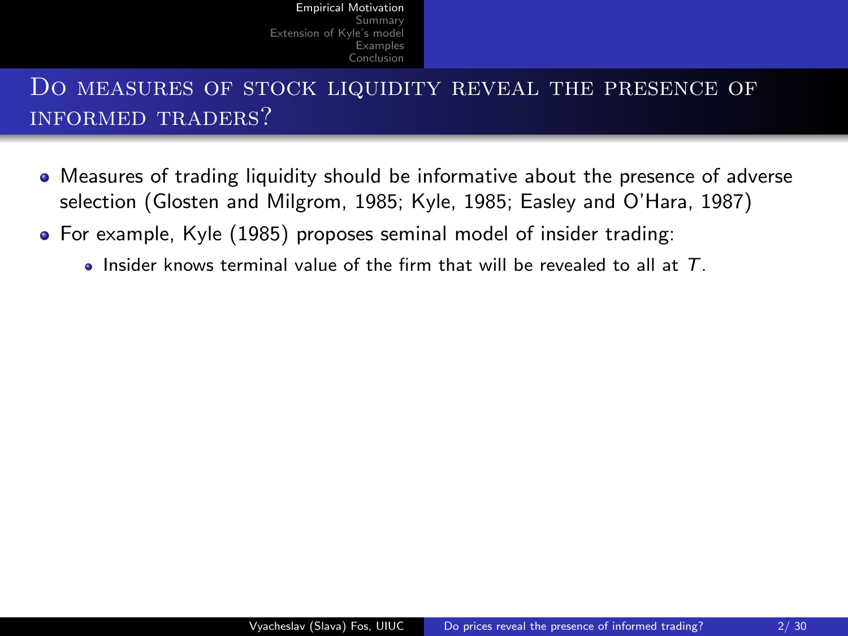- Measures of trading liquidity should be informative about the presence of adverse selection (Glosten and Milgrom, 1985; Kyle, 1985; Easley and O'Hara, 1987)
- For example, Kyle (1985) proposes seminal model of insider trading:
	- $\bullet$  Insider knows terminal value of the firm that will be revealed to all at  $\tau$ .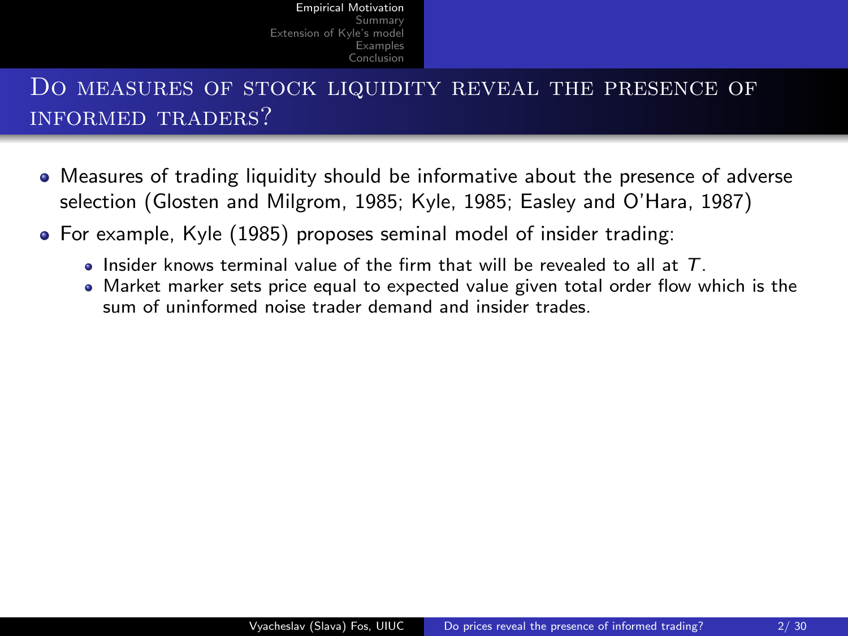- Measures of trading liquidity should be informative about the presence of adverse selection (Glosten and Milgrom, 1985; Kyle, 1985; Easley and O'Hara, 1987)
- For example, Kyle (1985) proposes seminal model of insider trading:
	- $\bullet$  Insider knows terminal value of the firm that will be revealed to all at  $\tau$ .
	- Market marker sets price equal to expected value given total order flow which is the sum of uninformed noise trader demand and insider trades.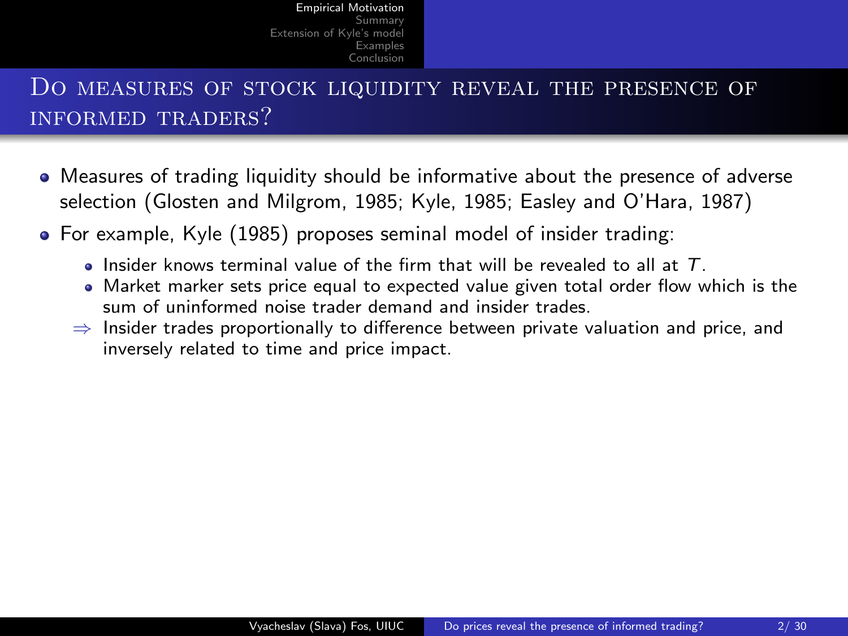- Measures of trading liquidity should be informative about the presence of adverse selection (Glosten and Milgrom, 1985; Kyle, 1985; Easley and O'Hara, 1987)
- For example, Kyle (1985) proposes seminal model of insider trading:
	- $\bullet$  Insider knows terminal value of the firm that will be revealed to all at  $\tau$ .
	- Market marker sets price equal to expected value given total order flow which is the sum of uninformed noise trader demand and insider trades.
	- $\Rightarrow$  Insider trades proportionally to difference between private valuation and price, and inversely related to time and price impact.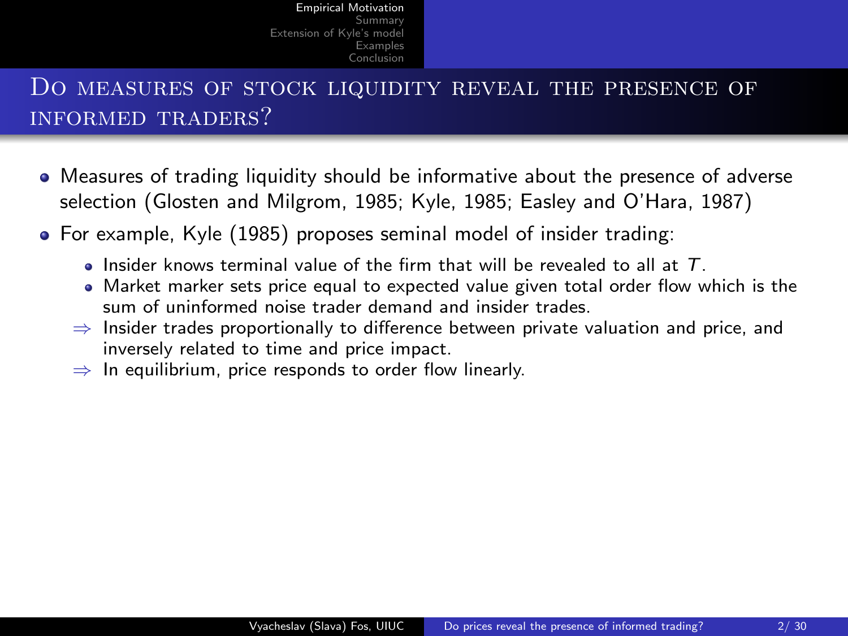- Measures of trading liquidity should be informative about the presence of adverse selection (Glosten and Milgrom, 1985; Kyle, 1985; Easley and O'Hara, 1987)
- For example, Kyle (1985) proposes seminal model of insider trading:
	- $\bullet$  Insider knows terminal value of the firm that will be revealed to all at  $\tau$ .
	- Market marker sets price equal to expected value given total order flow which is the sum of uninformed noise trader demand and insider trades.
	- $\Rightarrow$  Insider trades proportionally to difference between private valuation and price, and inversely related to time and price impact.
	- $\Rightarrow$  In equilibrium, price responds to order flow linearly.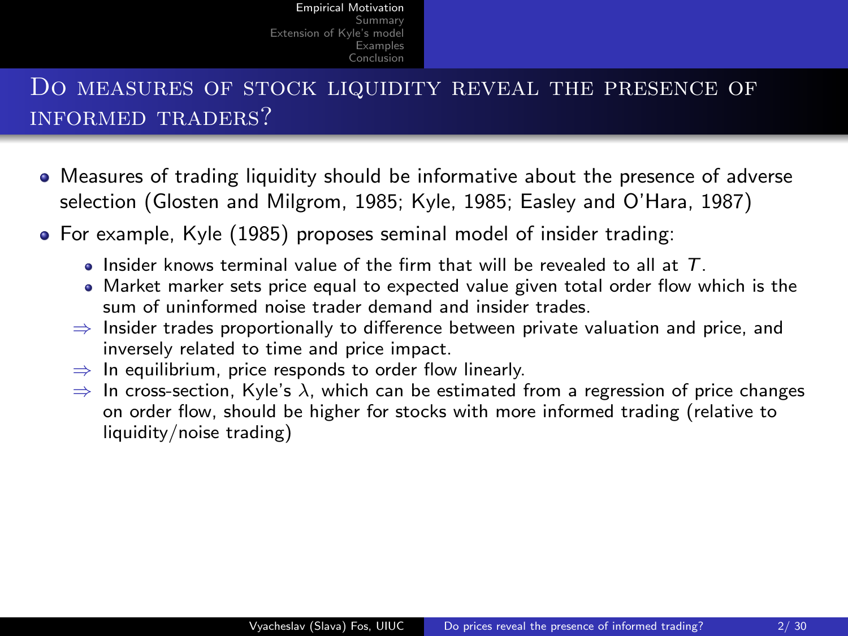- Measures of trading liquidity should be informative about the presence of adverse selection (Glosten and Milgrom, 1985; Kyle, 1985; Easley and O'Hara, 1987)
- For example, Kyle (1985) proposes seminal model of insider trading:
	- $\bullet$  Insider knows terminal value of the firm that will be revealed to all at  $\tau$ .
	- Market marker sets price equal to expected value given total order flow which is the sum of uninformed noise trader demand and insider trades.
	- $\Rightarrow$  Insider trades proportionally to difference between private valuation and price, and inversely related to time and price impact.
	- $\Rightarrow$  In equilibrium, price responds to order flow linearly.
	- $\Rightarrow$  In cross-section, Kyle's  $\lambda$ , which can be estimated from a regression of price changes on order flow, should be higher for stocks with more informed trading (relative to liquidity/noise trading)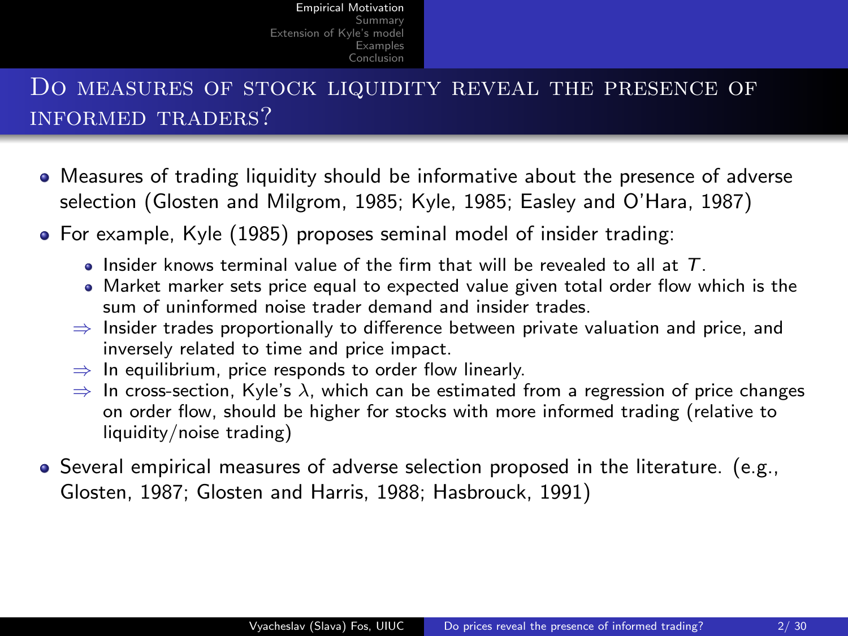- Measures of trading liquidity should be informative about the presence of adverse selection (Glosten and Milgrom, 1985; Kyle, 1985; Easley and O'Hara, 1987)
- For example, Kyle (1985) proposes seminal model of insider trading:
	- $\bullet$  Insider knows terminal value of the firm that will be revealed to all at  $\tau$ .
	- Market marker sets price equal to expected value given total order flow which is the sum of uninformed noise trader demand and insider trades.
	- $\Rightarrow$  Insider trades proportionally to difference between private valuation and price, and inversely related to time and price impact.
	- $\Rightarrow$  In equilibrium, price responds to order flow linearly.
	- $\Rightarrow$  In cross-section, Kyle's  $\lambda$ , which can be estimated from a regression of price changes on order flow, should be higher for stocks with more informed trading (relative to liquidity/noise trading)
- Several empirical measures of adverse selection proposed in the literature. (e.g., Glosten, 1987; Glosten and Harris, 1988; Hasbrouck, 1991)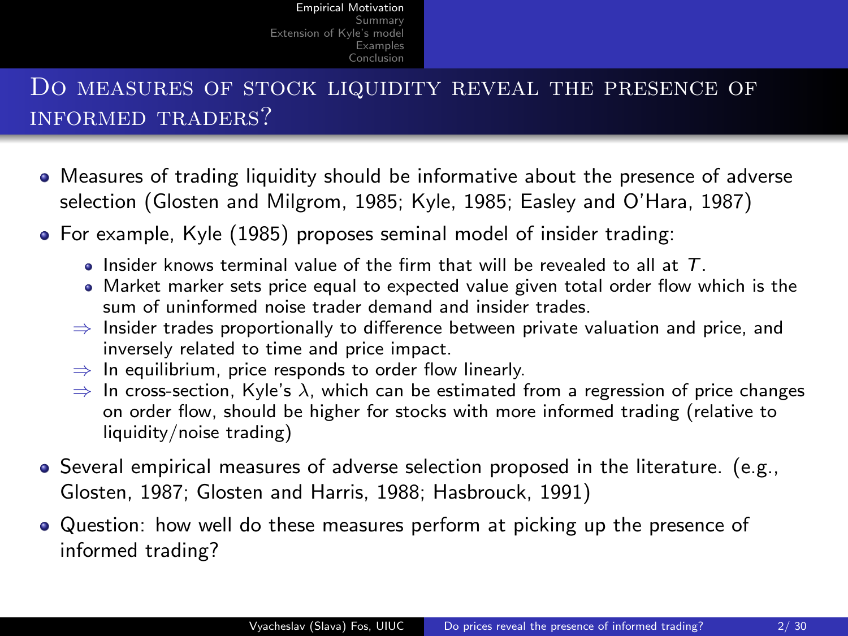- Measures of trading liquidity should be informative about the presence of adverse selection (Glosten and Milgrom, 1985; Kyle, 1985; Easley and O'Hara, 1987)
- For example, Kyle (1985) proposes seminal model of insider trading:
	- $\bullet$  Insider knows terminal value of the firm that will be revealed to all at  $\tau$ .
	- Market marker sets price equal to expected value given total order flow which is the sum of uninformed noise trader demand and insider trades.
	- $\Rightarrow$  Insider trades proportionally to difference between private valuation and price, and inversely related to time and price impact.
	- $\Rightarrow$  In equilibrium, price responds to order flow linearly.
	- $\Rightarrow$  In cross-section, Kyle's  $\lambda$ , which can be estimated from a regression of price changes on order flow, should be higher for stocks with more informed trading (relative to liquidity/noise trading)
- Several empirical measures of adverse selection proposed in the literature. (e.g., Glosten, 1987; Glosten and Harris, 1988; Hasbrouck, 1991)
- Question: how well do these measures perform at picking up the presence of informed trading?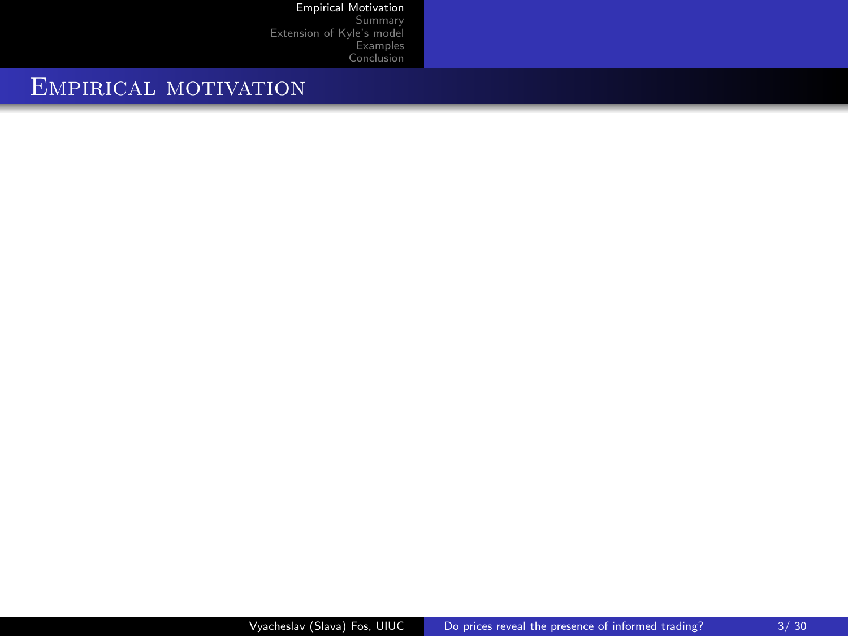### Empirical motivation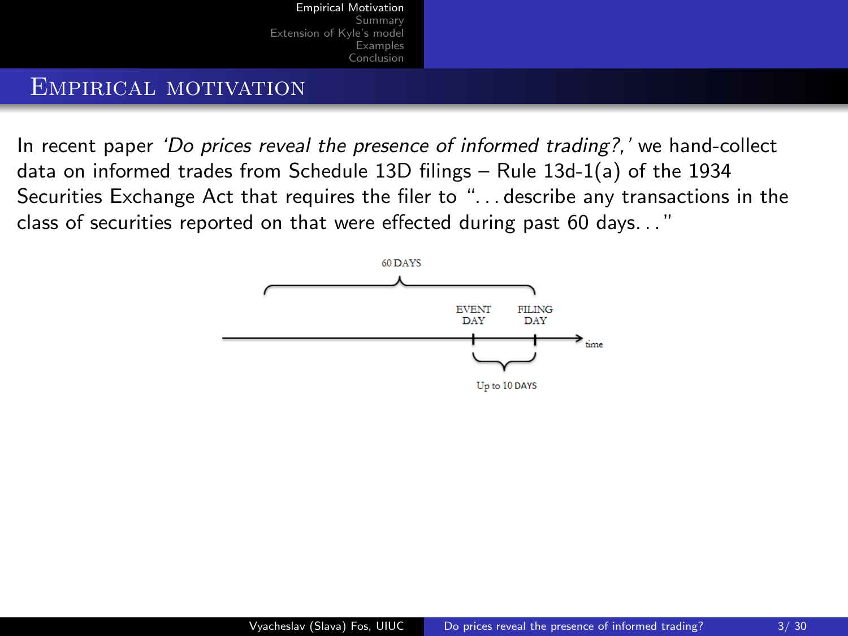

#### Empirical motivation

In recent paper 'Do prices reveal the presence of informed trading?,' we hand-collect data on informed trades from Schedule 13D filings – Rule 13d-1(a) of the 1934 Securities Exchange Act that requires the filer to ". . . describe any transactions in the class of securities reported on that were effected during past 60 days. . . "

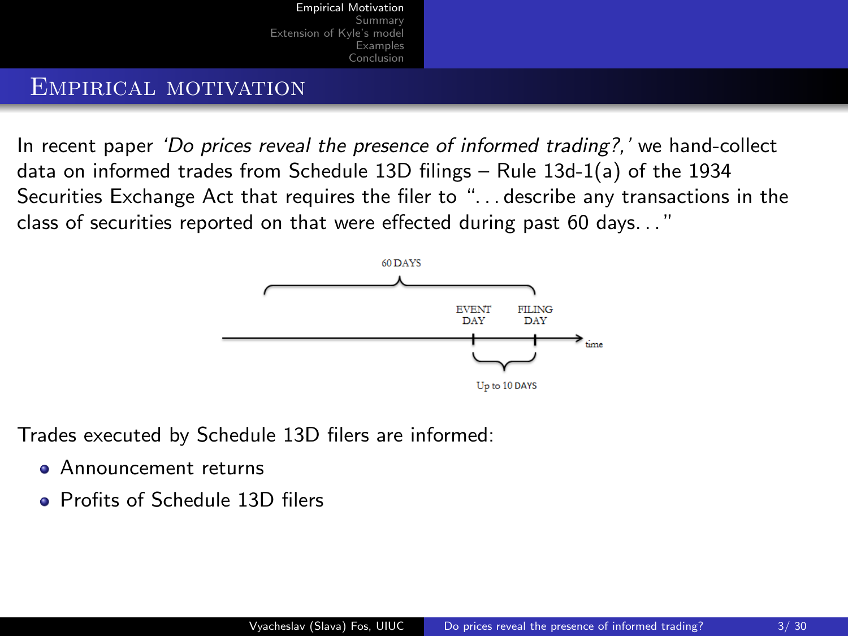

#### EMPIRICAL MOTIVATION

In recent paper 'Do prices reveal the presence of informed trading?,' we hand-collect data on informed trades from Schedule 13D filings – Rule 13d-1(a) of the 1934 Securities Exchange Act that requires the filer to ". . . describe any transactions in the class of securities reported on that were effected during past 60 days. . . "



Trades executed by Schedule 13D filers are informed:

- **Announcement returns**
- **Profits of Schedule 13D filers**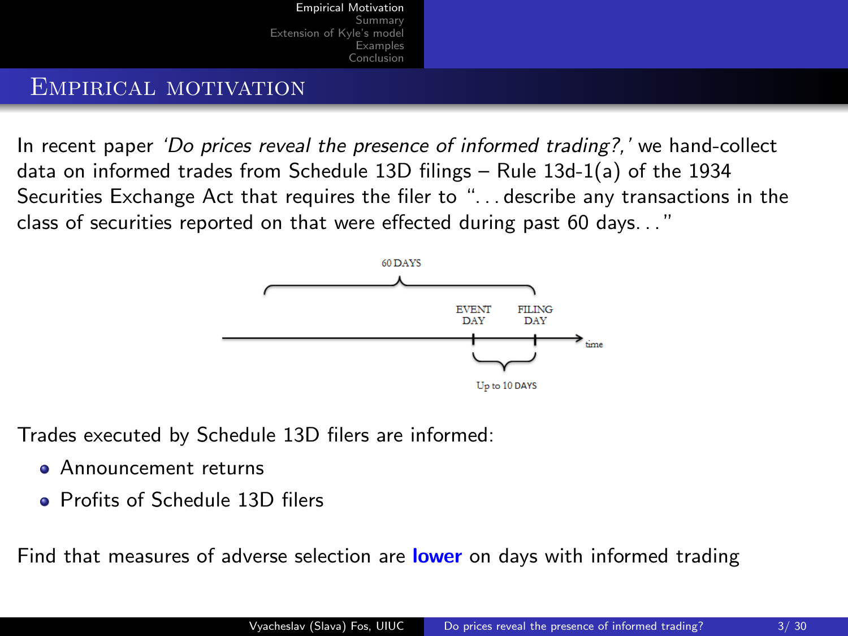

#### EMPIRICAL MOTIVATION

In recent paper 'Do prices reveal the presence of informed trading?,' we hand-collect data on informed trades from Schedule 13D filings – Rule 13d-1(a) of the 1934 Securities Exchange Act that requires the filer to ". . . describe any transactions in the class of securities reported on that were effected during past 60 days. . . "



Trades executed by Schedule 13D filers are informed:

- **Announcement returns**
- **Profits of Schedule 13D filers**

Find that measures of adverse selection are **lower** on days with informed trading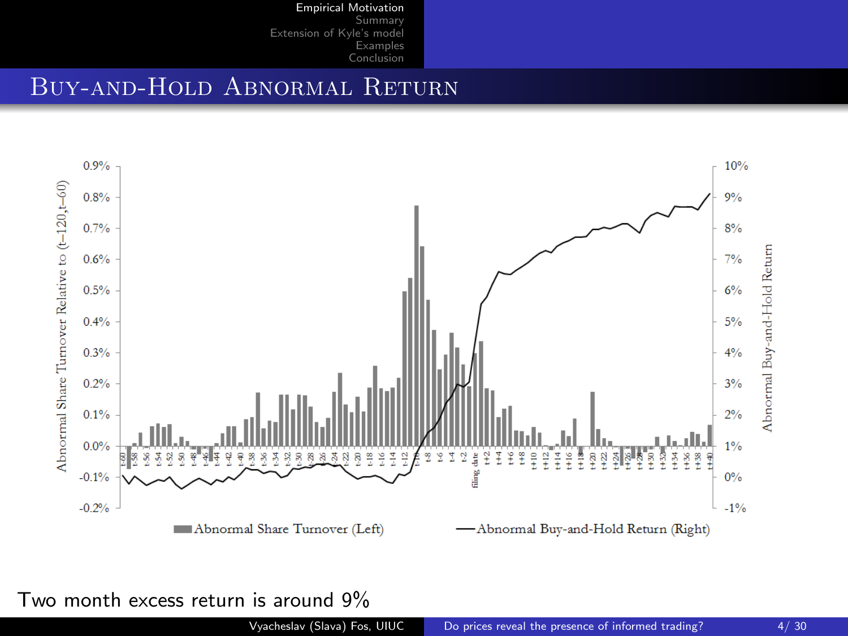# Buy-and-Hold Abnormal Return



#### Two month excess return is around 9%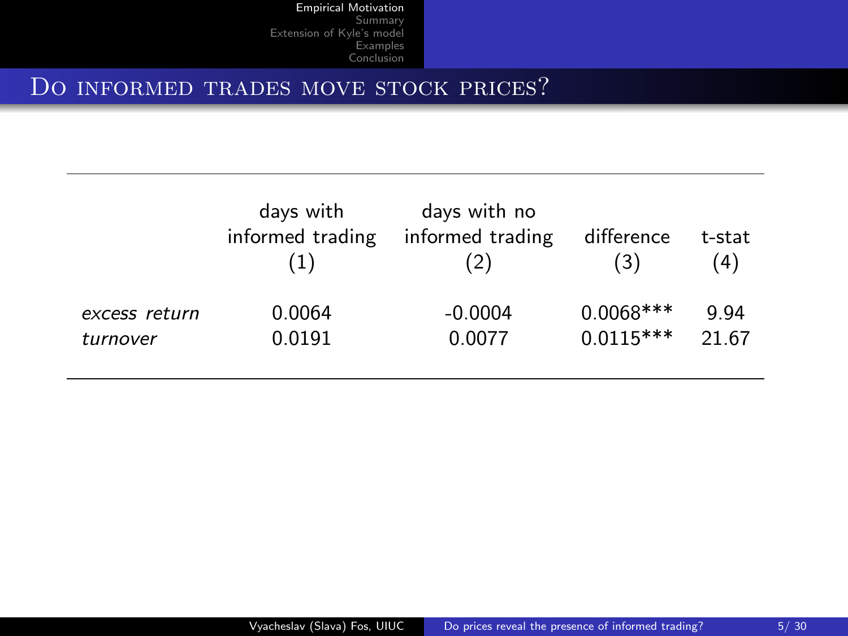### Do informed trades move stock prices?

|               | days with<br>informed trading | days with no<br>informed trading<br>(2) | difference<br>(3) | t-stat<br>(4) |
|---------------|-------------------------------|-----------------------------------------|-------------------|---------------|
| excess return | 0.0064                        | $-0.0004$                               | $0.0068***$       | 9.94          |
| turnover      | 0.0191                        | 0.0077                                  | $0.0115***$       | 21.67         |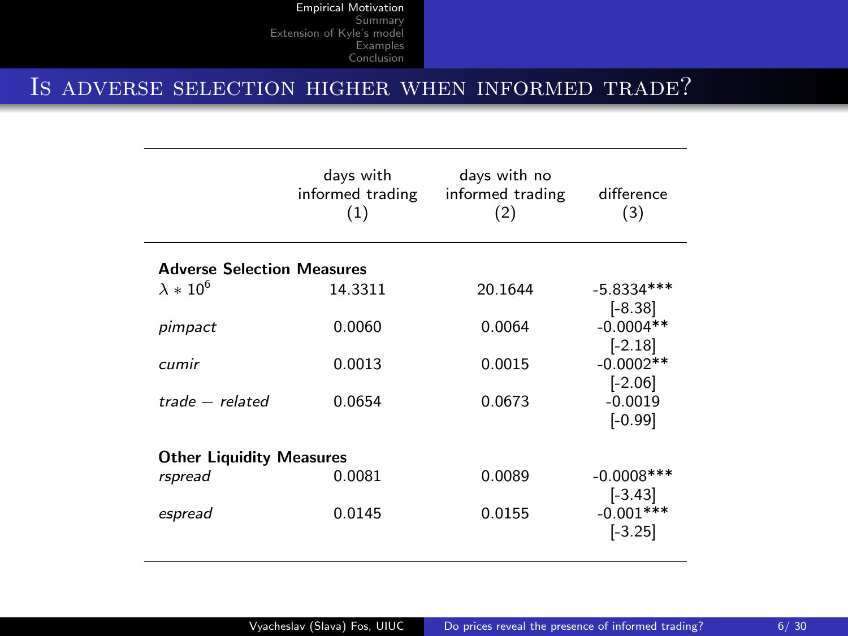÷.

### Is adverse selection higher when informed trade?

|                                   | days with<br>informed trading<br>(1) | days with no<br>informed trading<br>(2) | difference<br>(3)          |  |  |  |
|-----------------------------------|--------------------------------------|-----------------------------------------|----------------------------|--|--|--|
| <b>Adverse Selection Measures</b> |                                      |                                         |                            |  |  |  |
| $\lambda * 10^6$                  | 14.3311                              | 20.1644                                 | $-5.8334***$<br>$[-8.38]$  |  |  |  |
| pimpact                           | 0.0060                               | 0.0064                                  | $-0.0004**$<br>$[-2.18]$   |  |  |  |
| cumir                             | 0.0013                               | 0.0015                                  | $-0.0002**$<br>$[-2.06]$   |  |  |  |
| $trade - related$                 | 0.0654                               | 0.0673                                  | $-0.0019$<br>$[-0.99]$     |  |  |  |
| <b>Other Liquidity Measures</b>   |                                      |                                         |                            |  |  |  |
| rspread                           | 0.0081                               | 0.0089                                  | $-0.0008$ ***<br>$[-3.43]$ |  |  |  |
| espread                           | 0.0145                               | 0.0155                                  | $-0.001***$<br>$[-3.25]$   |  |  |  |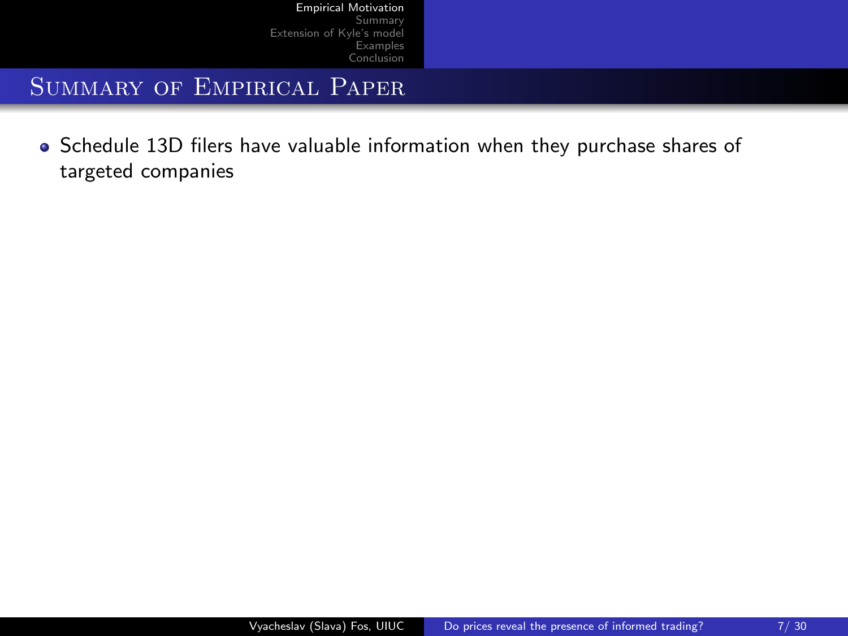# SUMMARY OF EMPIRICAL PAPER

• Schedule 13D filers have valuable information when they purchase shares of targeted companies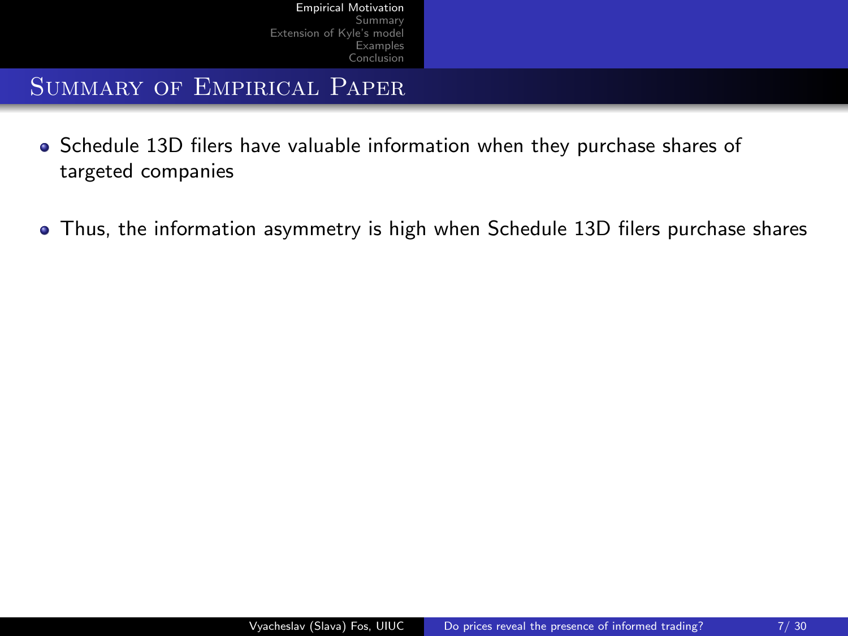- Schedule 13D filers have valuable information when they purchase shares of targeted companies
- Thus, the information asymmetry is high when Schedule 13D filers purchase shares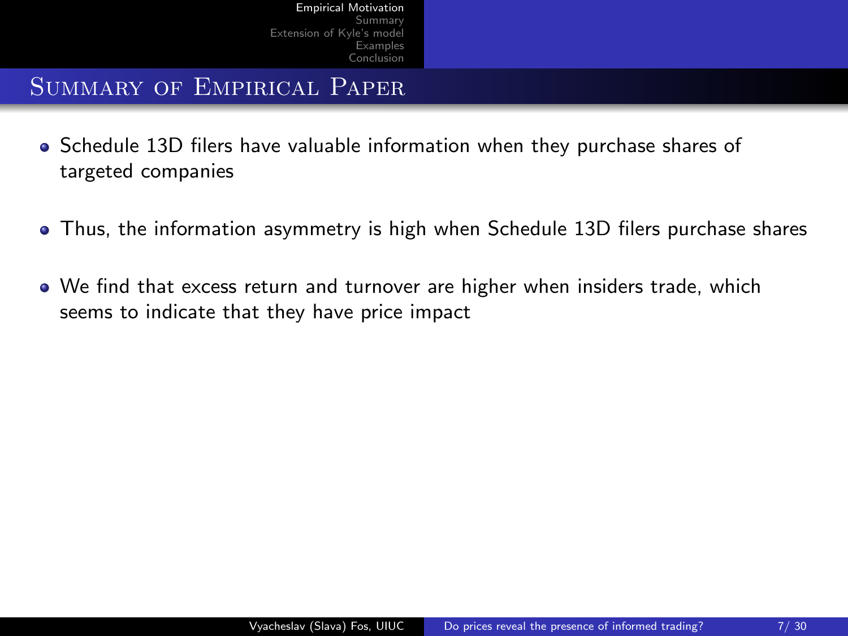- Schedule 13D filers have valuable information when they purchase shares of targeted companies
- Thus, the information asymmetry is high when Schedule 13D filers purchase shares
- We find that excess return and turnover are higher when insiders trade, which seems to indicate that they have price impact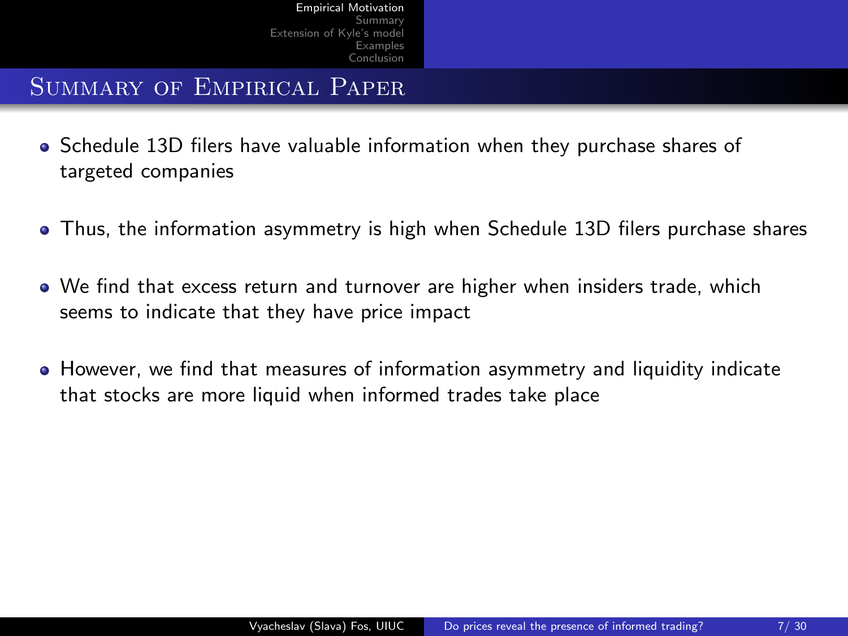- Schedule 13D filers have valuable information when they purchase shares of targeted companies
- Thus, the information asymmetry is high when Schedule 13D filers purchase shares
- We find that excess return and turnover are higher when insiders trade, which seems to indicate that they have price impact
- However, we find that measures of information asymmetry and liquidity indicate that stocks are more liquid when informed trades take place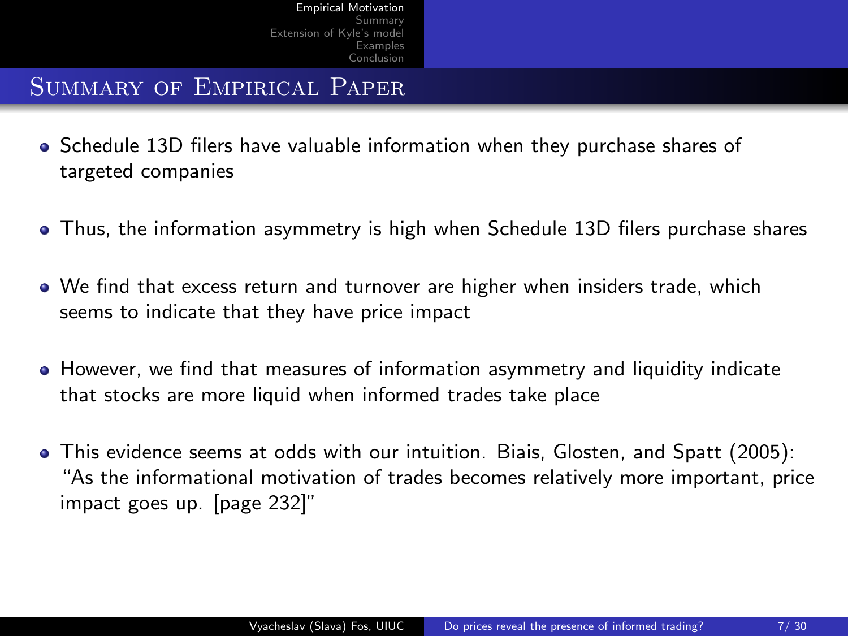- Schedule 13D filers have valuable information when they purchase shares of targeted companies
- Thus, the information asymmetry is high when Schedule 13D filers purchase shares
- We find that excess return and turnover are higher when insiders trade, which seems to indicate that they have price impact
- However, we find that measures of information asymmetry and liquidity indicate that stocks are more liquid when informed trades take place
- This evidence seems at odds with our intuition. Biais, Glosten, and Spatt (2005): "As the informational motivation of trades becomes relatively more important, price impact goes up. [page 232]"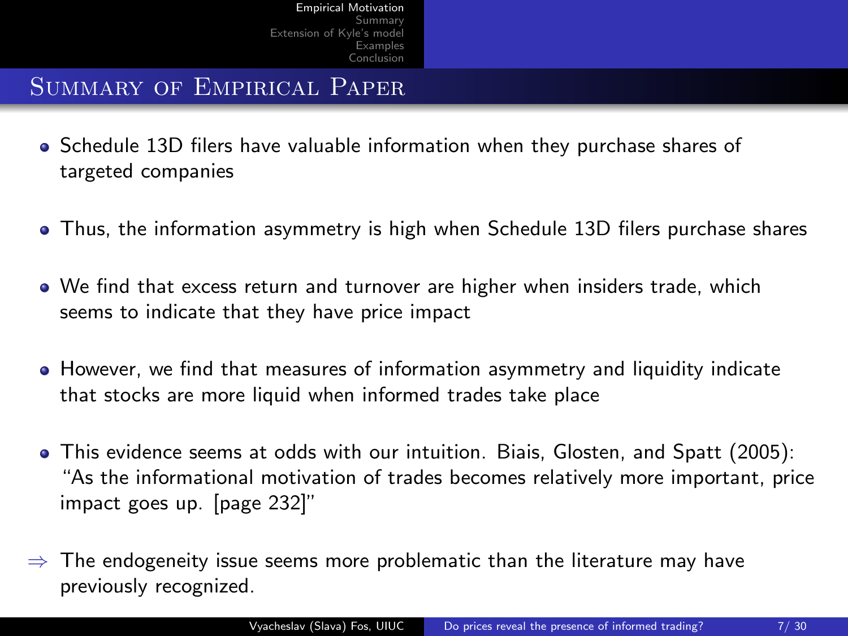- Schedule 13D filers have valuable information when they purchase shares of targeted companies
- Thus, the information asymmetry is high when Schedule 13D filers purchase shares
- We find that excess return and turnover are higher when insiders trade, which seems to indicate that they have price impact
- However, we find that measures of information asymmetry and liquidity indicate that stocks are more liquid when informed trades take place
- This evidence seems at odds with our intuition. Biais, Glosten, and Spatt (2005): "As the informational motivation of trades becomes relatively more important, price impact goes up. [page 232]"
- $\Rightarrow$  The endogeneity issue seems more problematic than the literature may have previously recognized.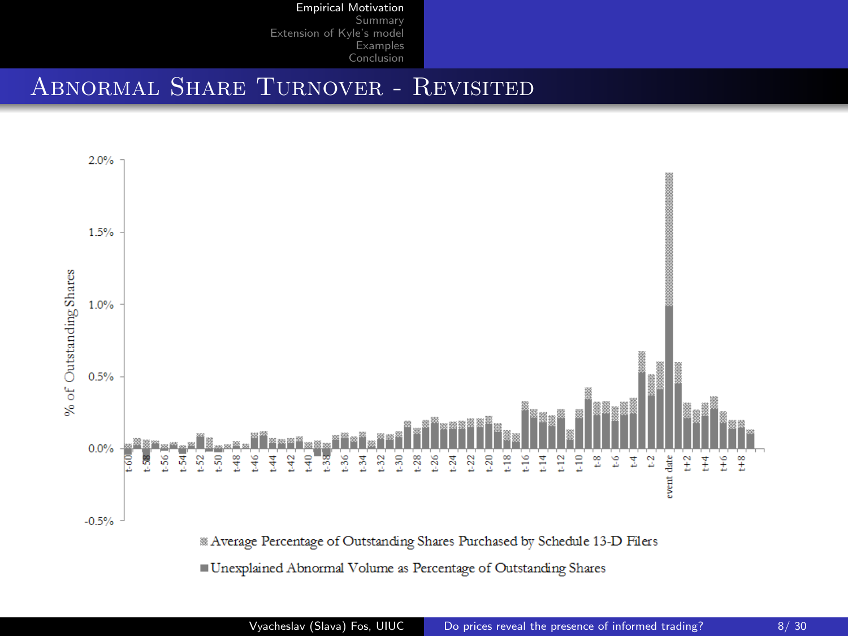### Abnormal Share Turnover - Revisited

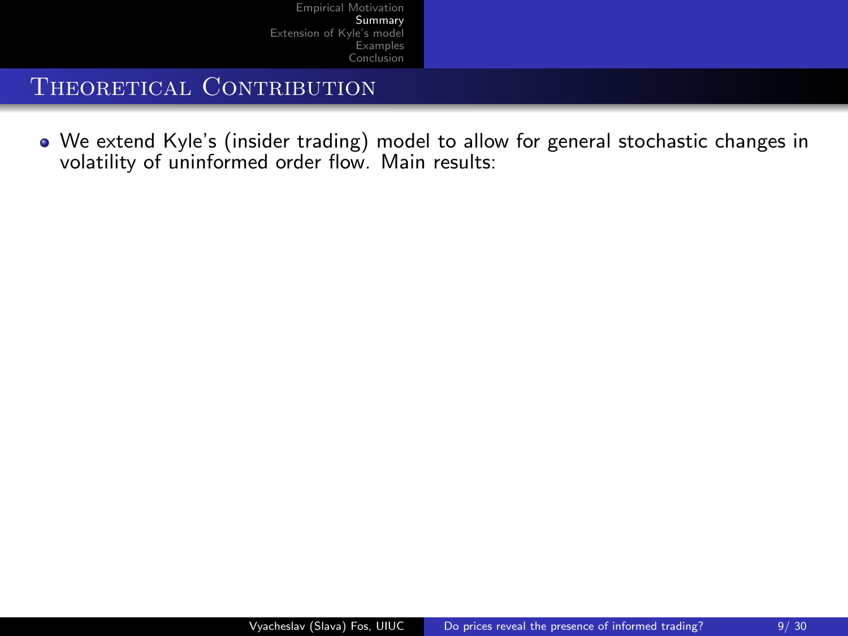# THEORETICAL CONTRIBUTION

<span id="page-24-0"></span>We extend Kyle's (insider trading) model to allow for general stochastic changes in volatility of uninformed order flow. Main results: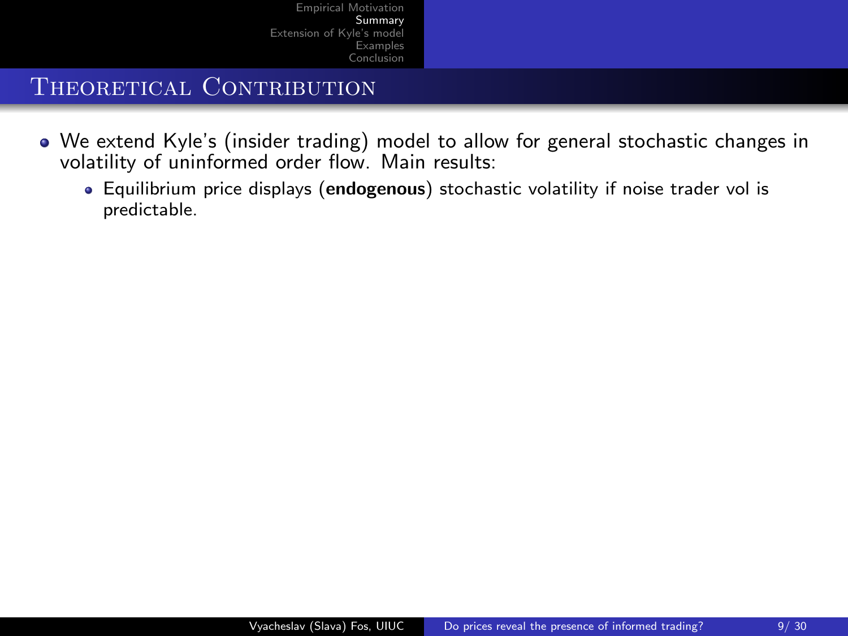- We extend Kyle's (insider trading) model to allow for general stochastic changes in volatility of uninformed order flow. Main results:
	- Equilibrium price displays (endogenous) stochastic volatility if noise trader vol is predictable.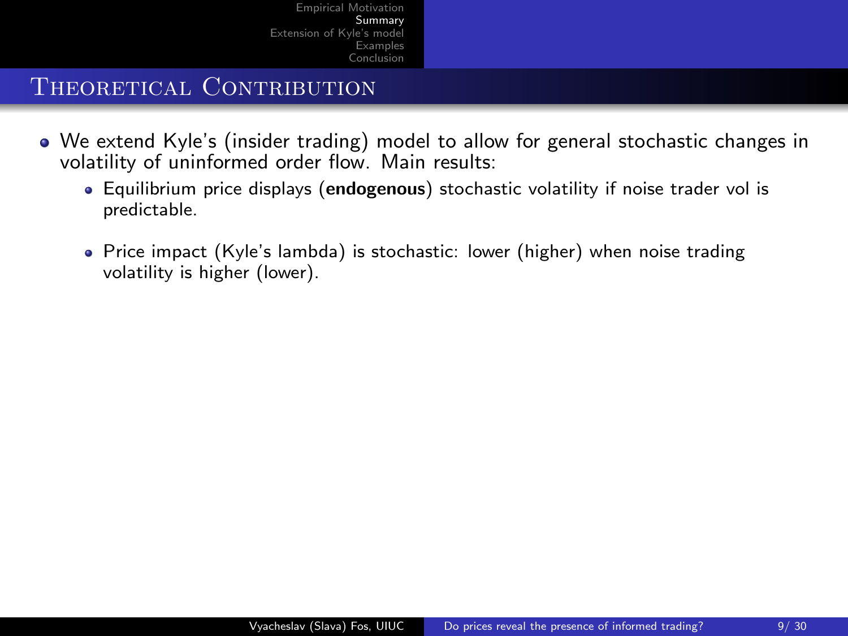- We extend Kyle's (insider trading) model to allow for general stochastic changes in volatility of uninformed order flow. Main results:
	- Equilibrium price displays (endogenous) stochastic volatility if noise trader vol is predictable.
	- Price impact (Kyle's lambda) is stochastic: lower (higher) when noise trading volatility is higher (lower).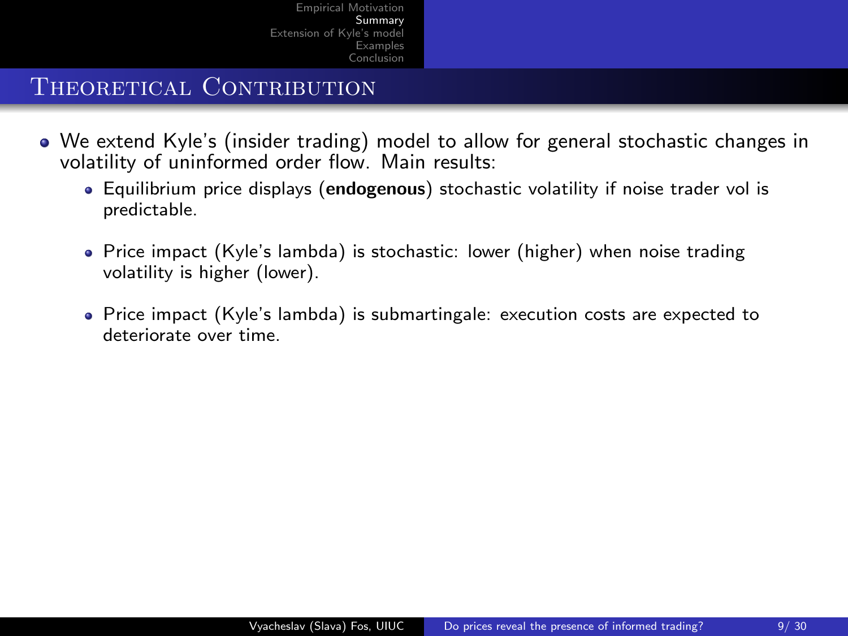- We extend Kyle's (insider trading) model to allow for general stochastic changes in volatility of uninformed order flow. Main results:
	- Equilibrium price displays (endogenous) stochastic volatility if noise trader vol is predictable.
	- Price impact (Kyle's lambda) is stochastic: lower (higher) when noise trading volatility is higher (lower).
	- Price impact (Kyle's lambda) is submartingale: execution costs are expected to deteriorate over time.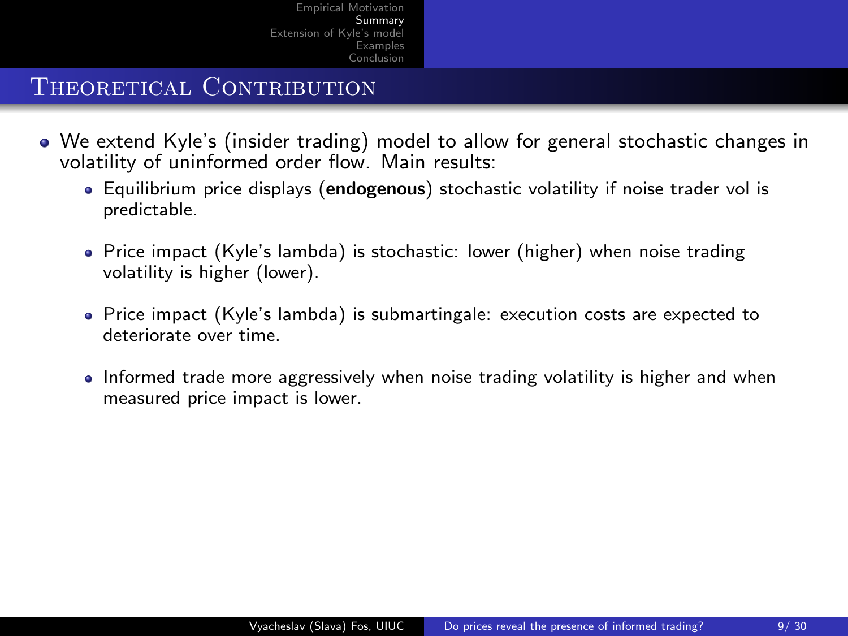- We extend Kyle's (insider trading) model to allow for general stochastic changes in volatility of uninformed order flow. Main results:
	- Equilibrium price displays (endogenous) stochastic volatility if noise trader vol is predictable.
	- Price impact (Kyle's lambda) is stochastic: lower (higher) when noise trading volatility is higher (lower).
	- Price impact (Kyle's lambda) is submartingale: execution costs are expected to deteriorate over time.
	- Informed trade more aggressively when noise trading volatility is higher and when measured price impact is lower.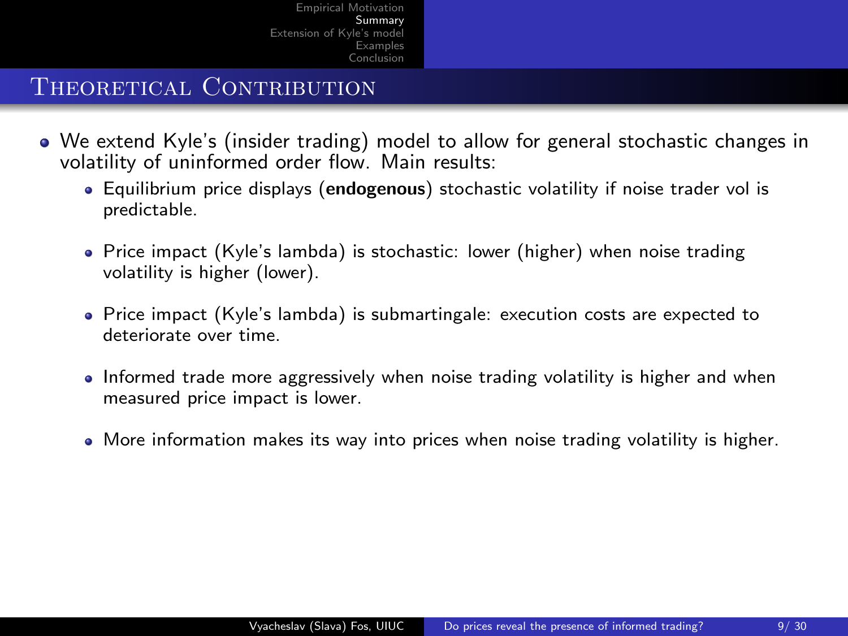- We extend Kyle's (insider trading) model to allow for general stochastic changes in volatility of uninformed order flow. Main results:
	- Equilibrium price displays (endogenous) stochastic volatility if noise trader vol is predictable.
	- Price impact (Kyle's lambda) is stochastic: lower (higher) when noise trading volatility is higher (lower).
	- Price impact (Kyle's lambda) is submartingale: execution costs are expected to deteriorate over time.
	- Informed trade more aggressively when noise trading volatility is higher and when measured price impact is lower.
	- More information makes its way into prices when noise trading volatility is higher.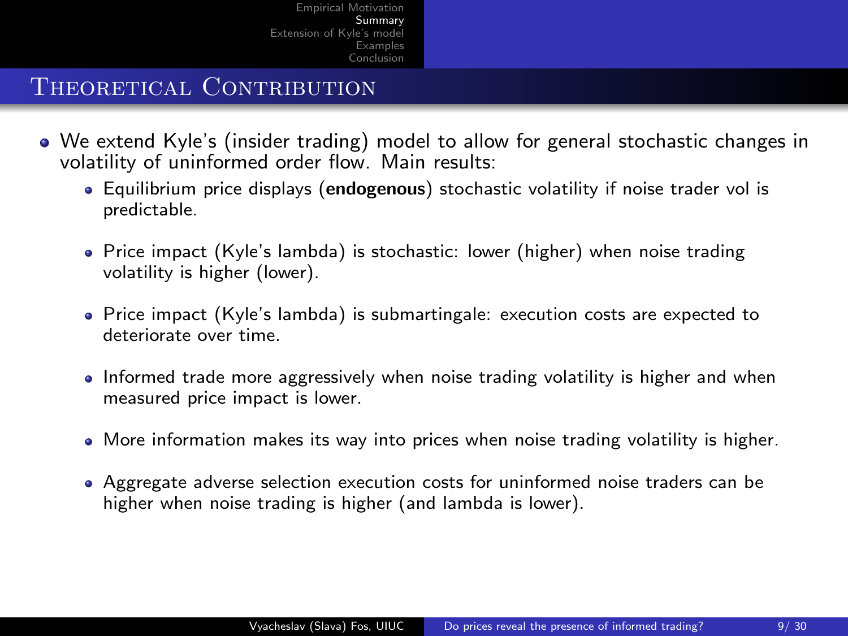- We extend Kyle's (insider trading) model to allow for general stochastic changes in volatility of uninformed order flow. Main results:
	- Equilibrium price displays (endogenous) stochastic volatility if noise trader vol is predictable.
	- Price impact (Kyle's lambda) is stochastic: lower (higher) when noise trading volatility is higher (lower).
	- Price impact (Kyle's lambda) is submartingale: execution costs are expected to deteriorate over time.
	- Informed trade more aggressively when noise trading volatility is higher and when measured price impact is lower.
	- More information makes its way into prices when noise trading volatility is higher.
	- Aggregate adverse selection execution costs for uninformed noise traders can be higher when noise trading is higher (and lambda is lower).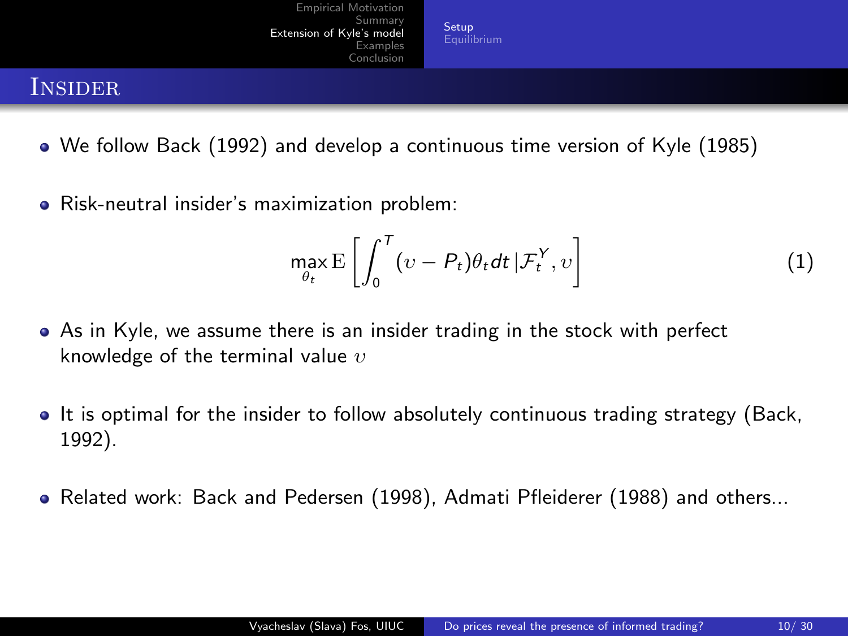

#### Insider

- We follow Back (1992) and develop a continuous time version of Kyle (1985)
- Risk-neutral insider's maximization problem:

<span id="page-31-0"></span>
$$
\max_{\theta_t} \mathbb{E}\left[\int_0^T (v - P_t)\theta_t dt \, | \mathcal{F}_t^Y, v\right] \tag{1}
$$

- As in Kyle, we assume there is an insider trading in the stock with perfect knowledge of the terminal value  $v$
- It is optimal for the insider to follow absolutely continuous trading strategy (Back, 1992).
- Related work: Back and Pedersen (1998), Admati Pfleiderer (1988) and others...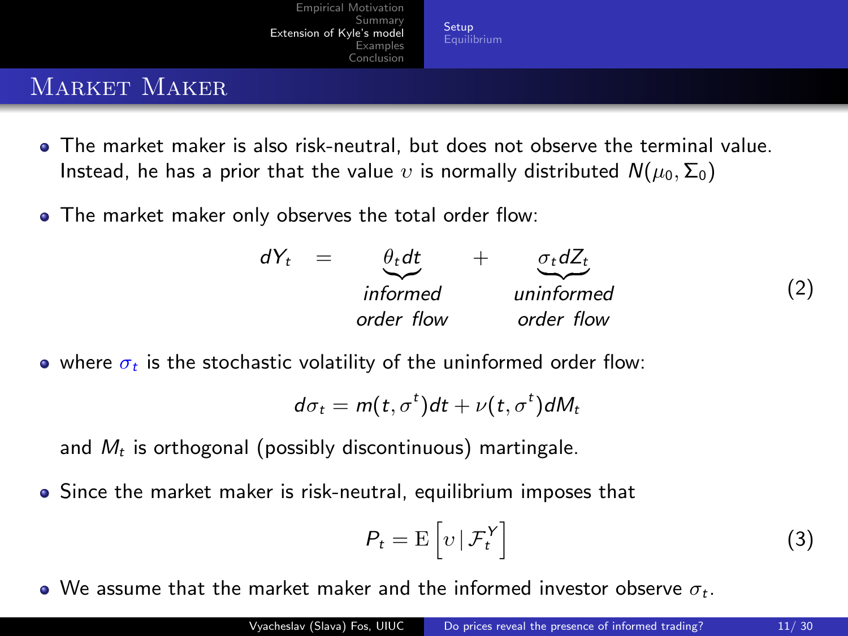[Setup](#page-31-0) [Equilibrium](#page-34-0)

# MARKET MAKER

- The market maker is also risk-neutral, but does not observe the terminal value. Instead, he has a prior that the value v is normally distributed  $N(\mu_0, \Sigma_0)$
- The market maker only observes the total order flow:



• where  $\sigma_t$  is the stochastic volatility of the uninformed order flow:

$$
d\sigma_t = m(t, \sigma^t)dt + \nu(t, \sigma^t)dM_t
$$

and  $M_t$  is orthogonal (possibly discontinuous) martingale.

Since the market maker is risk-neutral, equilibrium imposes that

$$
P_t = \mathrm{E}\left[v \,|\, \mathcal{F}_t^Y\right] \tag{3}
$$

• We assume that the market maker and the informed investor observe  $\sigma_t$ .

(2)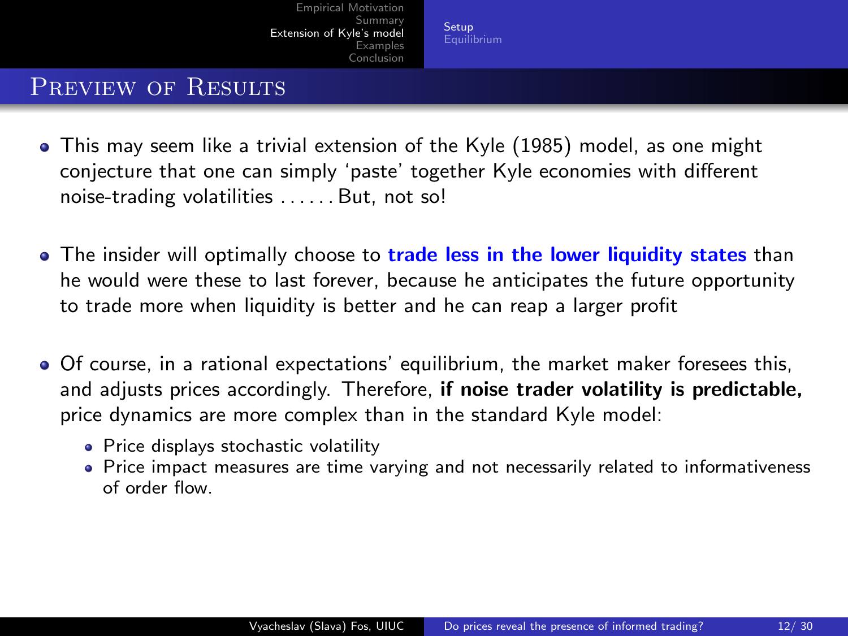[Setup](#page-31-0) [Equilibrium](#page-34-0)

#### PREVIEW OF RESULTS

- This may seem like a trivial extension of the Kyle (1985) model, as one might conjecture that one can simply 'paste' together Kyle economies with different noise-trading volatilities ...... But, not so!
- The insider will optimally choose to trade less in the lower liquidity states than he would were these to last forever, because he anticipates the future opportunity to trade more when liquidity is better and he can reap a larger profit
- Of course, in a rational expectations' equilibrium, the market maker foresees this, and adjusts prices accordingly. Therefore, if noise trader volatility is predictable, price dynamics are more complex than in the standard Kyle model:
	- Price displays stochastic volatility
	- Price impact measures are time varying and not necessarily related to informativeness of order flow.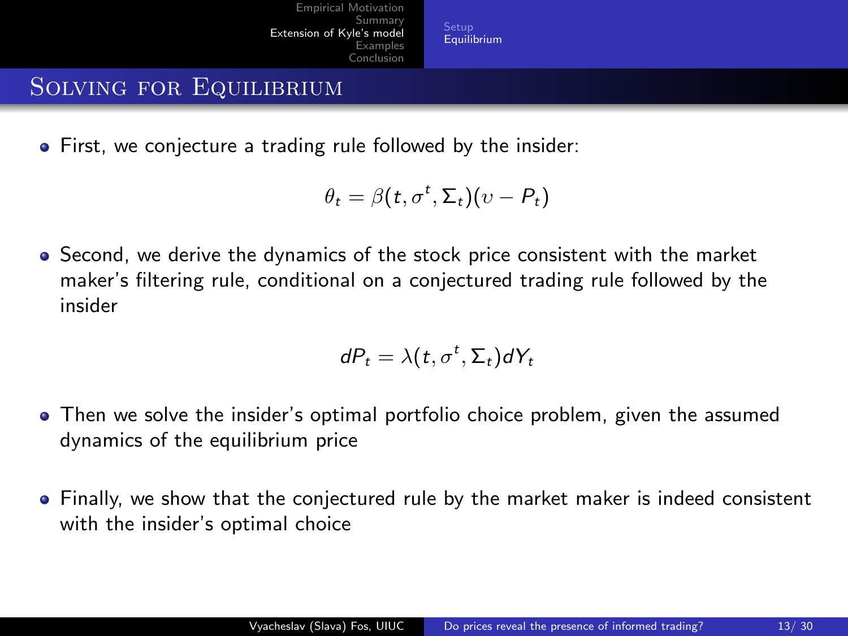### Solving for Equilibrium

First, we conjecture a trading rule followed by the insider:

$$
\theta_t = \beta(t, \sigma^t, \Sigma_t)(v - P_t)
$$

Second, we derive the dynamics of the stock price consistent with the market maker's filtering rule, conditional on a conjectured trading rule followed by the insider

<span id="page-34-0"></span>
$$
dP_t = \lambda(t, \sigma^t, \Sigma_t) dY_t
$$

- Then we solve the insider's optimal portfolio choice problem, given the assumed dynamics of the equilibrium price
- Finally, we show that the conjectured rule by the market maker is indeed consistent with the insider's optimal choice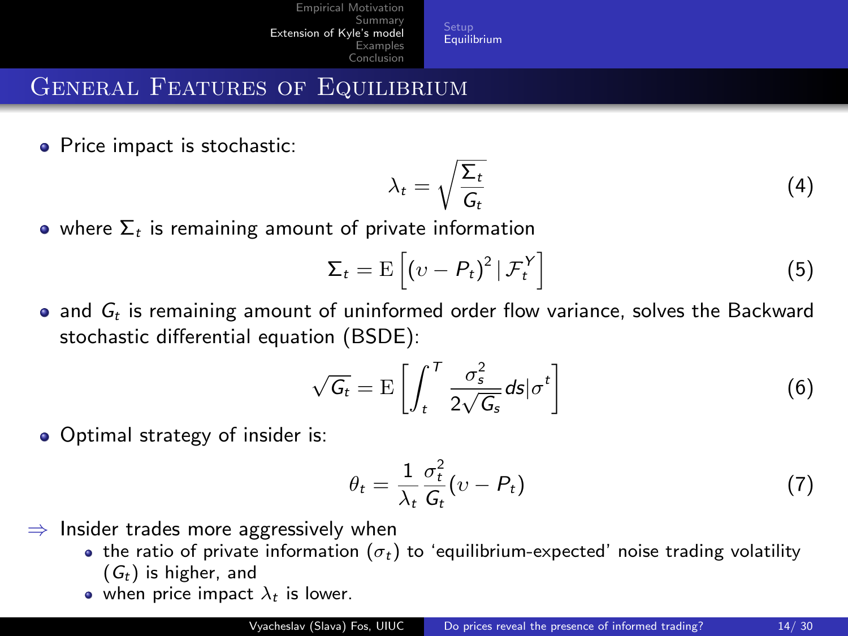[Equilibrium](#page-34-0)

### General Features of Equilibrium

• Price impact is stochastic:

$$
\lambda_t = \sqrt{\frac{\Sigma_t}{G_t}} \tag{4}
$$

• where  $\Sigma_t$  is remaining amount of private information

$$
\Sigma_t = \mathrm{E}\left[ \left( \upsilon - P_t \right)^2 \middle| \mathcal{F}_t^{\gamma} \right] \tag{5}
$$

• and  $G_t$  is remaining amount of uninformed order flow variance, solves the Backward stochastic differential equation (BSDE):

$$
\sqrt{G_t} = \mathcal{E}\left[\int_t^T \frac{\sigma_s^2}{2\sqrt{G_s}} ds | \sigma^t\right]
$$
 (6)

• Optimal strategy of insider is:

$$
\theta_t = \frac{1}{\lambda_t} \frac{\sigma_t^2}{G_t} (v - P_t)
$$
\n(7)

- $\Rightarrow$  Insider trades more aggressively when
	- the ratio of private information  $(\sigma_t)$  to 'equilibrium-expected' noise trading volatility  $(G_t)$  is higher, and
	- when price impact  $\lambda_t$  is lower.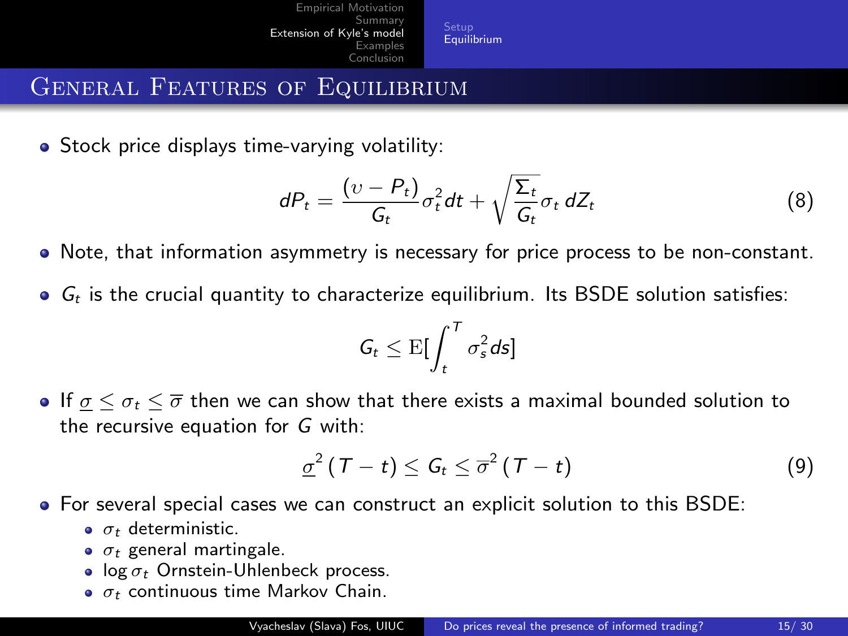[Equilibrium](#page-34-0)

General Features of Equilibrium

• Stock price displays time-varying volatility:

$$
dP_t = \frac{(v - P_t)}{G_t} \sigma_t^2 dt + \sqrt{\frac{\Sigma_t}{G_t}} \sigma_t dZ_t
$$
 (8)

- Note, that information asymmetry is necessary for price process to be non-constant.
- $G_t$  is the crucial quantity to characterize equilibrium. Its BSDE solution satisfies:

$$
G_t \leq \mathrm{E}[\int_t^T \sigma_s^2 ds]
$$

If  $\sigma \leq \sigma_t \leq \overline{\sigma}$  then we can show that there exists a maximal bounded solution to the recursive equation for G with:

$$
\underline{\sigma}^2(T-t)\leq G_t\leq \overline{\sigma}^2(T-t) \tag{9}
$$

- For several special cases we can construct an explicit solution to this BSDE:
	- $\bullet$   $\sigma_t$  deterministic.
	- $\bullet$   $\sigma_t$  general martingale.
	- log  $\sigma_t$  Ornstein-Uhlenbeck process.
	- $\bullet$   $\sigma$ <sub>t</sub> continuous time Markov Chain.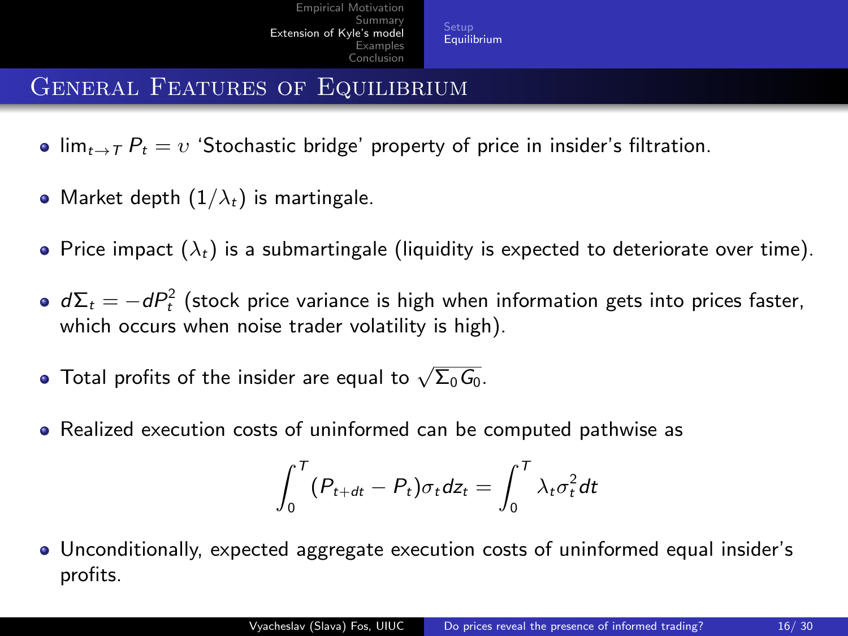[Setup](#page-31-0) [Equilibrium](#page-34-0)

### General Features of Equilibrium

- lim<sub>t→T</sub>  $P_t = v$  'Stochastic bridge' property of price in insider's filtration.
- Market depth  $(1/\lambda_t)$  is martingale.
- Price impact  $(\lambda_t)$  is a submartingale (liquidity is expected to deteriorate over time).
- $d\Sigma_t=-dP_t^2$  (stock price variance is high when information gets into prices faster, which occurs when noise trader volatility is high).
- Total profits of the insider are equal to  $\sqrt{\Sigma_0\mathit{G}_0}.$
- Realized execution costs of uninformed can be computed pathwise as

$$
\int_0^T (P_{t+dt} - P_t)\sigma_t dz_t = \int_0^T \lambda_t \sigma_t^2 dt
$$

Unconditionally, expected aggregate execution costs of uninformed equal insider's profits.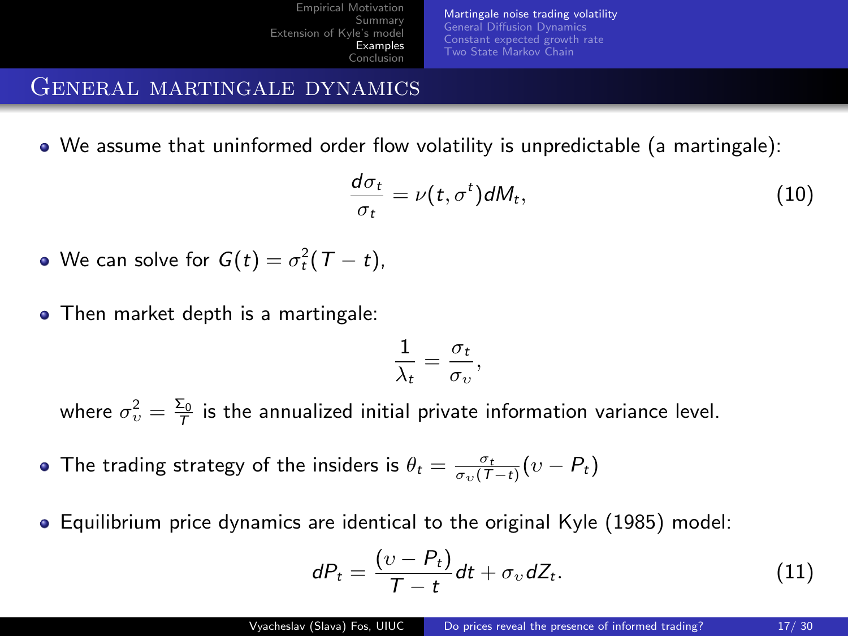[Martingale noise trading volatility](#page-38-0) [General Diffusion Dynamics](#page-40-0) [Constant expected growth rate](#page-41-0) [Two State Markov Chain](#page-44-0)

General martingale dynamics

We assume that uninformed order flow volatility is unpredictable (a martingale):

$$
\frac{d\sigma_t}{\sigma_t} = \nu(t, \sigma^t) dM_t, \qquad (10)
$$

- We can solve for  $G(t) = \sigma_t^2(T t)$ ,
- Then market depth is a martingale:

$$
\frac{1}{\lambda_t} = \frac{\sigma_t}{\sigma_v},
$$

where  $\sigma_v^2 = \frac{\Sigma_0}{\mathcal{T}}$  is the annualized initial private information variance level.

- The trading strategy of the insiders is  $\theta_t = \frac{\sigma_t}{\sigma_v(T-t)}(v P_t)$
- Equilibrium price dynamics are identical to the original Kyle (1985) model:

<span id="page-38-0"></span>
$$
dP_t = \frac{(v - P_t)}{T - t} dt + \sigma_v dZ_t.
$$
 (11)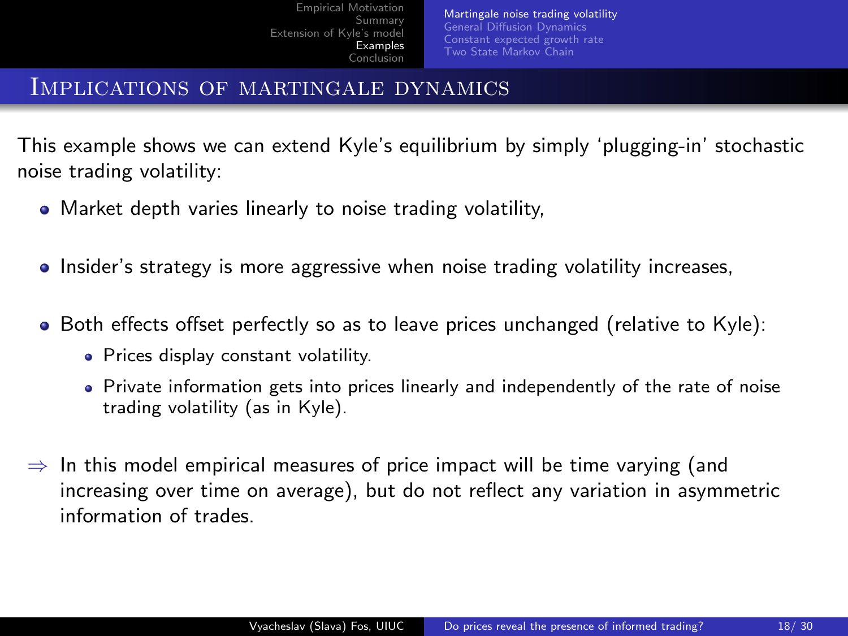[Martingale noise trading volatility](#page-38-0) [General Diffusion Dynamics](#page-40-0) [Constant expected growth rate](#page-41-0) [Two State Markov Chain](#page-44-0)

#### Implications of martingale dynamics

This example shows we can extend Kyle's equilibrium by simply 'plugging-in' stochastic noise trading volatility:

- Market depth varies linearly to noise trading volatility,
- Insider's strategy is more aggressive when noise trading volatility increases,
- Both effects offset perfectly so as to leave prices unchanged (relative to Kyle):
	- **•** Prices display constant volatility.
	- Private information gets into prices linearly and independently of the rate of noise trading volatility (as in Kyle).
- $\Rightarrow$  In this model empirical measures of price impact will be time varying (and increasing over time on average), but do not reflect any variation in asymmetric information of trades.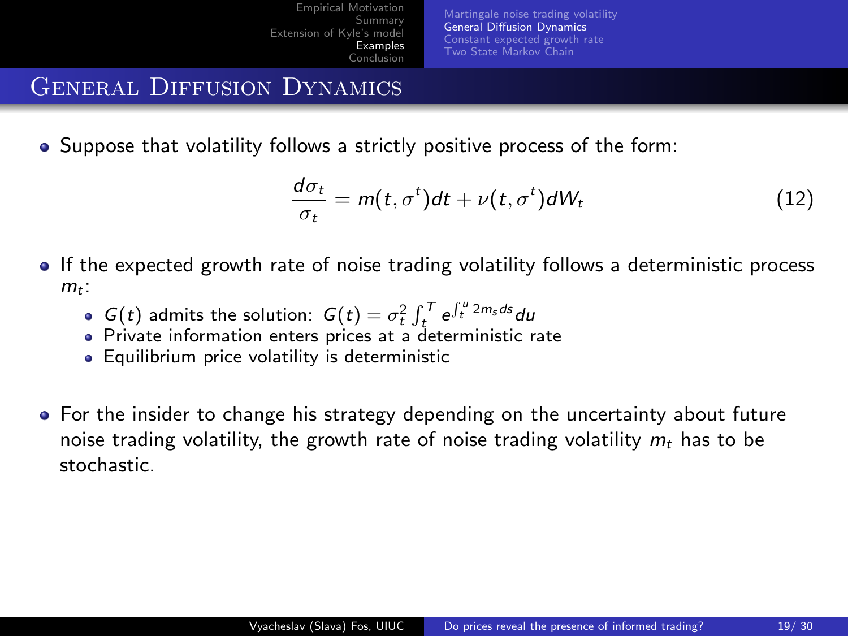[Martingale noise trading volatility](#page-38-0) [General Diffusion Dynamics](#page-40-0) [Constant expected growth rate](#page-41-0) [Two State Markov Chain](#page-44-0)

# GENERAL DIFFUSION DYNAMICS

Suppose that volatility follows a strictly positive process of the form:

<span id="page-40-0"></span>
$$
\frac{d\sigma_t}{\sigma_t} = m(t, \sigma^t)dt + \nu(t, \sigma^t)dW_t
$$
\n(12)

- If the expected growth rate of noise trading volatility follows a deterministic process  $m<sub>t</sub>$ :
	- $G(t)$  admits the solution:  $G(t) = \sigma_t^2 \int_t^T e^{\int_t^u 2m_s ds} du$
	- $C(t)$  dannes the solution.  $C(t) = \sigma_t t$   $t_t$   $t_t$   $t_t$   $t_t$   $t_t$   $t_t$
	- Equilibrium price volatility is deterministic
- For the insider to change his strategy depending on the uncertainty about future noise trading volatility, the growth rate of noise trading volatility  $m_t$  has to be stochastic.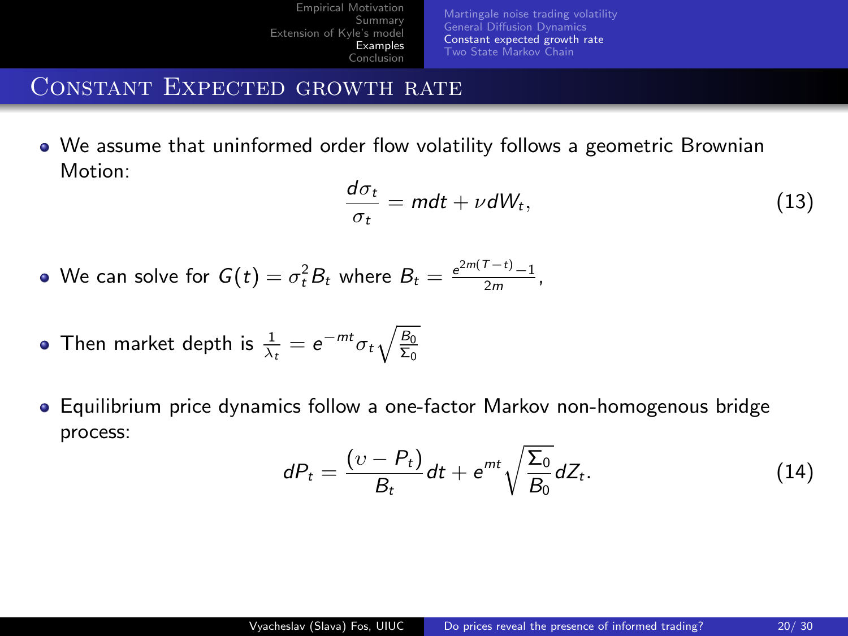[Martingale noise trading volatility](#page-38-0) [General Diffusion Dynamics](#page-40-0) [Constant expected growth rate](#page-41-0) [Two State Markov Chain](#page-44-0)

#### CONSTANT EXPECTED GROWTH RATE

We assume that uninformed order flow volatility follows a geometric Brownian Motion:

$$
\frac{d\sigma_t}{\sigma_t} = mdt + \nu dW_t, \qquad (13)
$$

- We can solve for  $G(t) = \sigma_t^2 B_t$  where  $B_t = \frac{e^{2m(T-t)} 1}{2m}$ ,
- Then market depth is  $\frac{1}{\lambda_t}=e^{-mt}\sigma_t\sqrt{\frac{B_0}{\Sigma_0}}$
- Equilibrium price dynamics follow a one-factor Markov non-homogenous bridge process:

<span id="page-41-0"></span>
$$
dP_t = \frac{(v - P_t)}{B_t} dt + e^{mt} \sqrt{\frac{\Sigma_0}{B_0}} dZ_t.
$$
 (14)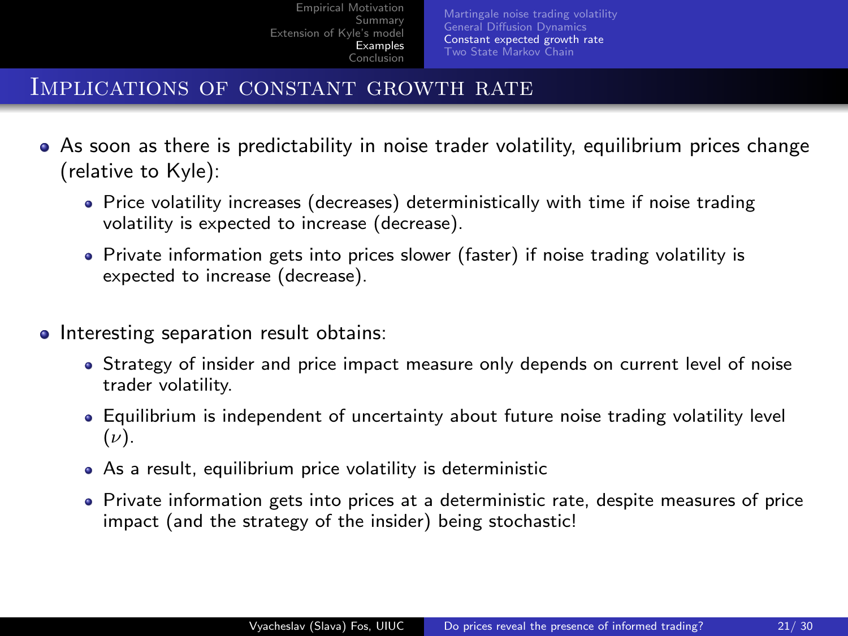[Martingale noise trading volatility](#page-38-0) [General Diffusion Dynamics](#page-40-0) [Constant expected growth rate](#page-41-0) [Two State Markov Chain](#page-44-0)

#### IMPLICATIONS OF CONSTANT GROWTH RATE

- As soon as there is predictability in noise trader volatility, equilibrium prices change (relative to Kyle):
	- Price volatility increases (decreases) deterministically with time if noise trading volatility is expected to increase (decrease).
	- Private information gets into prices slower (faster) if noise trading volatility is expected to increase (decrease).
- Interesting separation result obtains:
	- Strategy of insider and price impact measure only depends on current level of noise trader volatility.
	- Equilibrium is independent of uncertainty about future noise trading volatility level  $(\nu)$ .
	- As a result, equilibrium price volatility is deterministic
	- Private information gets into prices at a deterministic rate, despite measures of price impact (and the strategy of the insider) being stochastic!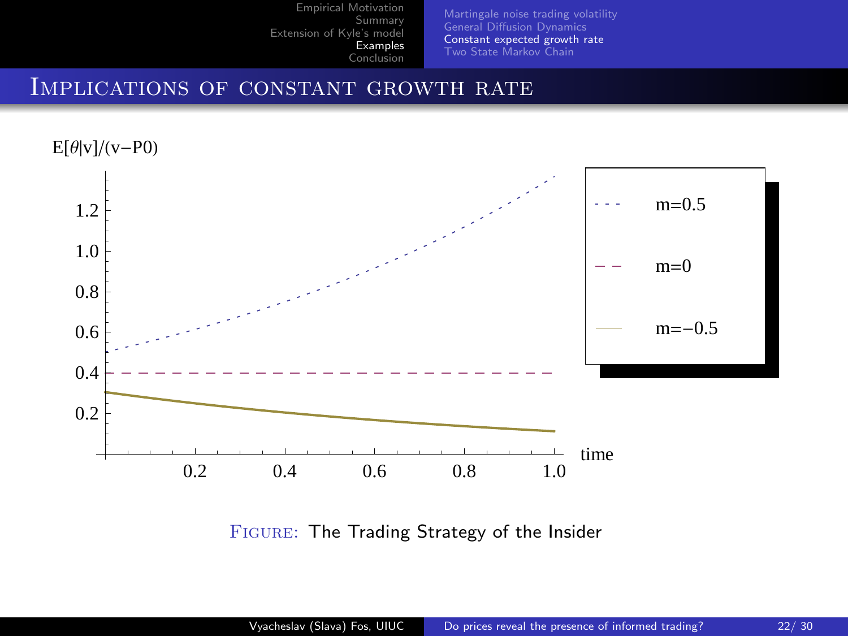[Martingale noise trading volatility](#page-38-0) [General Diffusion Dynamics](#page-40-0) [Constant expected growth rate](#page-41-0) [Two State Markov Chain](#page-44-0)

#### IMPLICATIONS OF CONSTANT GROWTH RATE



FIGURE: The Trading Strategy of the Insider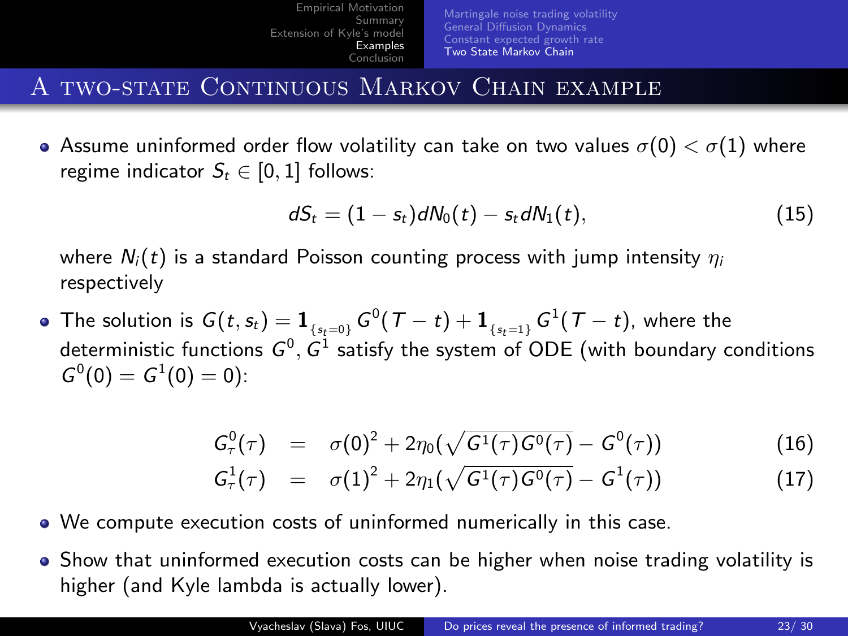[Martingale noise trading volatility](#page-38-0) [General Diffusion Dynamics](#page-40-0) [Constant expected growth rate](#page-41-0) [Two State Markov Chain](#page-44-0)

A TWO-STATE CONTINUOUS MARKOV CHAIN EXAMPLE

Assume uninformed order flow volatility can take on two values  $\sigma(0) < \sigma(1)$  where regime indicator  $S_t \in [0,1]$  follows:

$$
dS_t = (1 - s_t) dN_0(t) - s_t dN_1(t), \qquad (15)
$$

where  $N_i(t)$  is a standard Poisson counting process with jump intensity  $\eta_i$ respectively

The solution is  $G(t,s_t) = \mathbf{1}_{\{s_t = 0\}}\, G^0(\, \mathcal{T} - t) + \mathbf{1}_{\{s_t = 1\}}\, G^1(\, \mathcal{T} - t)$ , where the deterministic functions  $\mathsf{G}^0,\mathsf{G}^1$  satisfy the system of ODE (with boundary conditions  $G^0(0) = G^1(0) = 0$ :

$$
G_{\tau}^{0}(\tau) = \sigma(0)^{2} + 2\eta_{0}(\sqrt{G^{1}(\tau)G^{0}(\tau)} - G^{0}(\tau))
$$
\n(16)

<span id="page-44-0"></span>
$$
G_{\tau}^{1}(\tau) = \sigma(1)^{2} + 2\eta_{1}(\sqrt{G^{1}(\tau)G^{0}(\tau)} - G^{1}(\tau))
$$
\n(17)

- We compute execution costs of uninformed numerically in this case.
- Show that uninformed execution costs can be higher when noise trading volatility is higher (and Kyle lambda is actually lower).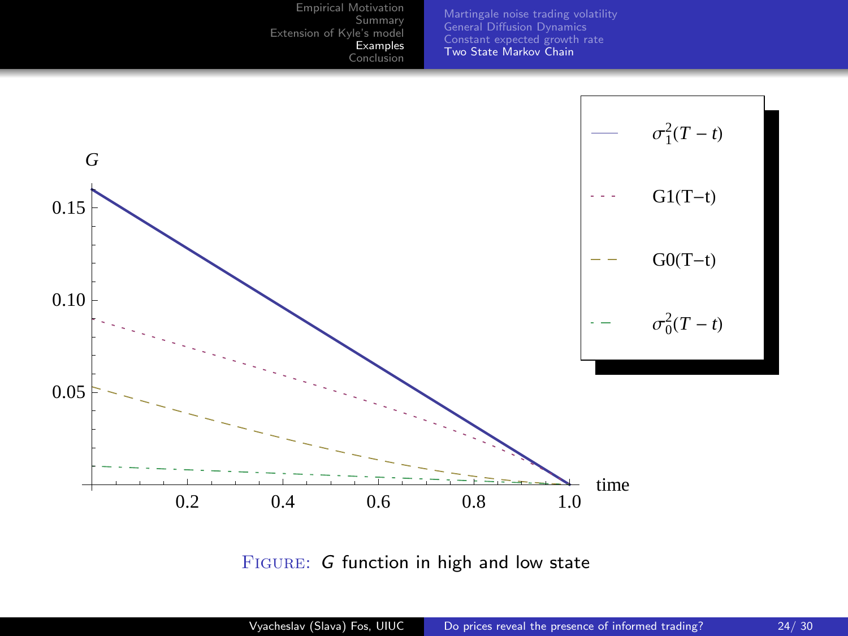[Empirical Motivation](#page-1-0) [Extension of Kyle's model](#page-31-0) [Examples](#page-38-0) [Conclusion](#page-52-0) [Martingale noise trading volatility](#page-38-0) [General Diffusion Dynamics](#page-40-0) [Two State Markov Chain](#page-44-0)



FIGURE: G function in high and low state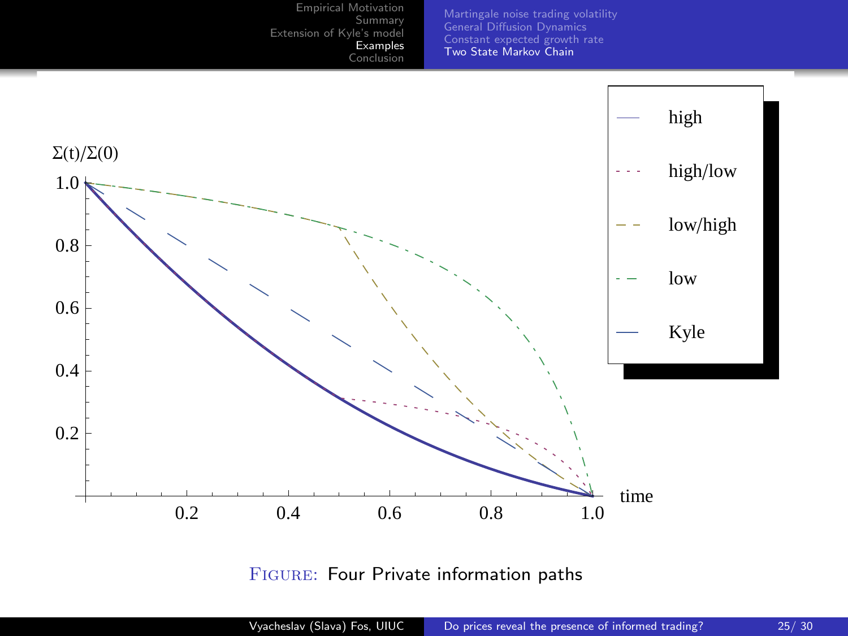

Figure: Four Private information paths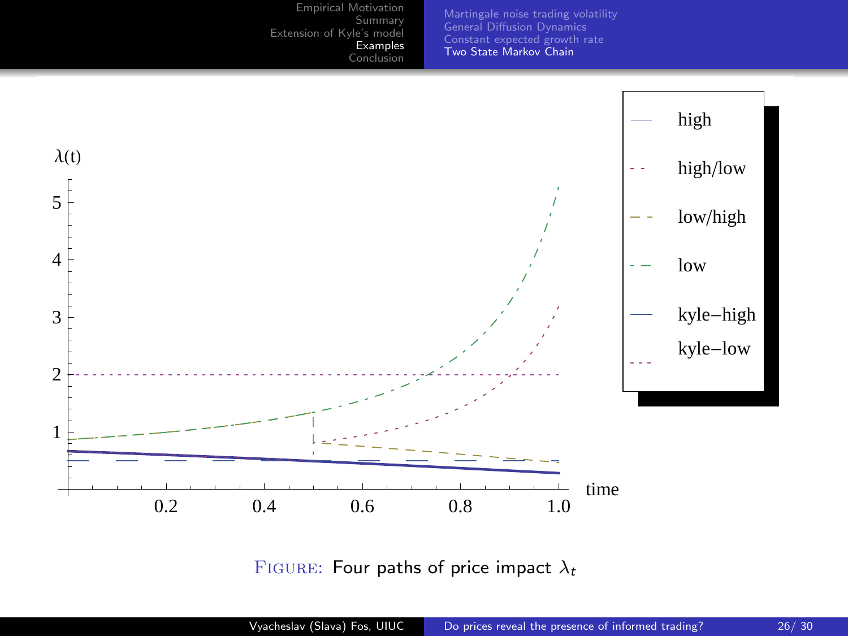



FIGURE: Four paths of price impact  $\lambda_t$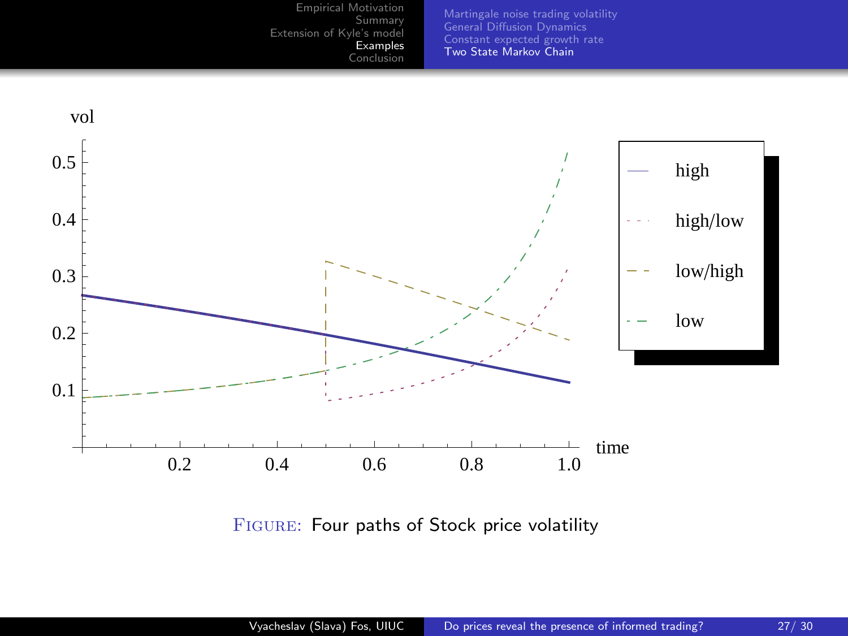[Martingale noise trading volatility](#page-38-0) [General Diffusion Dynamics](#page-40-0) [Two State Markov Chain](#page-44-0)



Figure: Four paths of Stock price volatility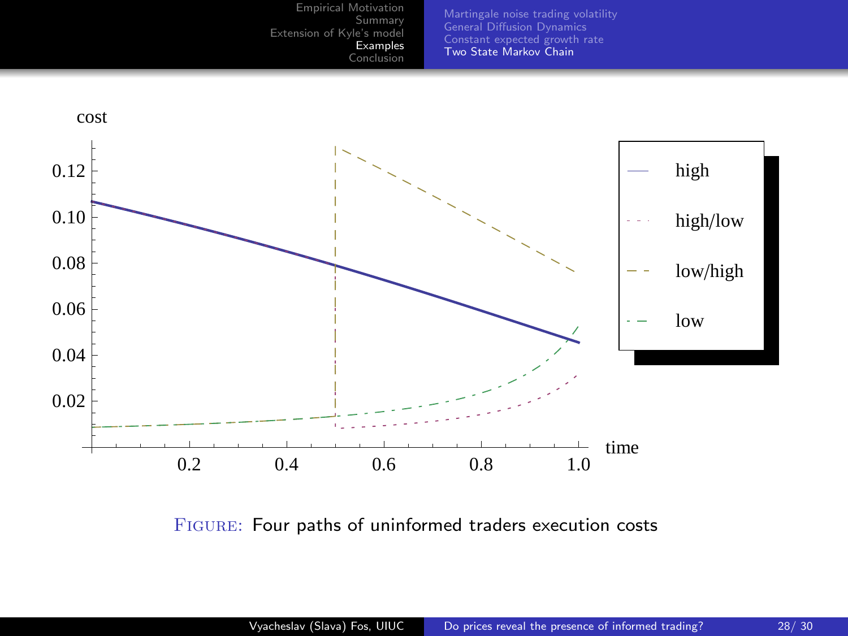[Empirical Motivation](#page-1-0) [Summary](#page-24-0) [Extension of Kyle's model](#page-31-0) [Examples](#page-38-0) [Conclusion](#page-52-0) [Martingale noise trading volatility](#page-38-0) [General Diffusion Dynamics](#page-40-0) [Two State Markov Chain](#page-44-0)



Figure: Four paths of uninformed traders execution costs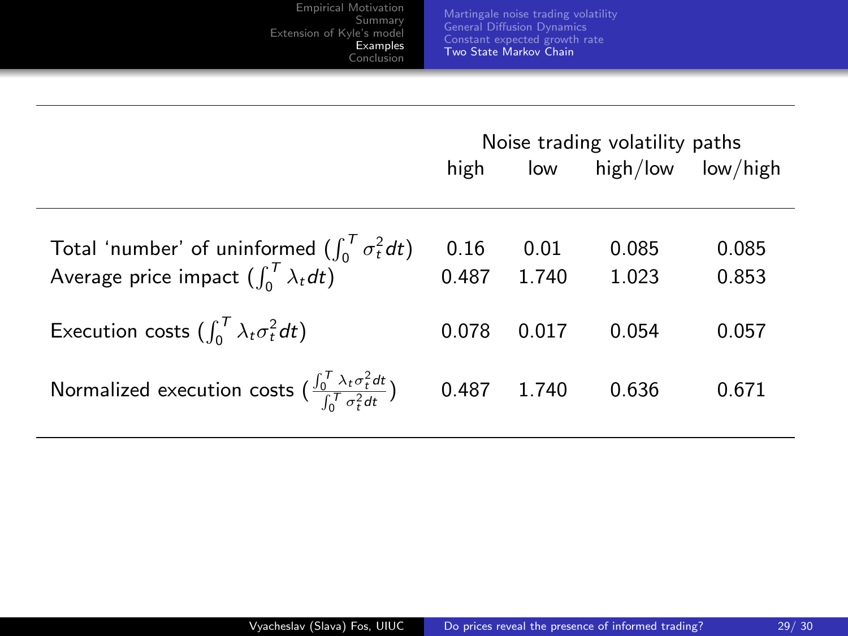| <b>Empirical Motivation</b><br>Summary<br>Extension of Kyle's model<br><b>Examples</b><br>Conclusion | Martingale noise trading volatility<br><b>General Diffusion Dynamics</b><br>Constant expected growth rate<br>Two State Markov Chain |
|------------------------------------------------------------------------------------------------------|-------------------------------------------------------------------------------------------------------------------------------------|
|------------------------------------------------------------------------------------------------------|-------------------------------------------------------------------------------------------------------------------------------------|

|                                                                                                           | Noise trading volatility paths |       |       |                   |
|-----------------------------------------------------------------------------------------------------------|--------------------------------|-------|-------|-------------------|
|                                                                                                           | high                           | low   |       | high/low low/high |
|                                                                                                           |                                |       |       |                   |
| Total 'number' of uninformed $\int_0^T \sigma_t^2 dt$ )                                                   | 0.16                           | 0.01  | 0.085 | 0.085             |
| Average price impact $(\int_0^T \lambda_t dt)$                                                            | 0.487                          | 1.740 | 1.023 | 0.853             |
| Execution costs $\left(\int_0^T \lambda_t \sigma_t^2 dt\right)$                                           | 0.078                          | 0.017 | 0.054 | 0.057             |
| Normalized execution costs $\left(\frac{\int_0^l \lambda_t \sigma_t^2 dt}{\int_0^T \sigma_t^2 dt}\right)$ | 0.487                          | 1.740 | 0.636 | 0.671             |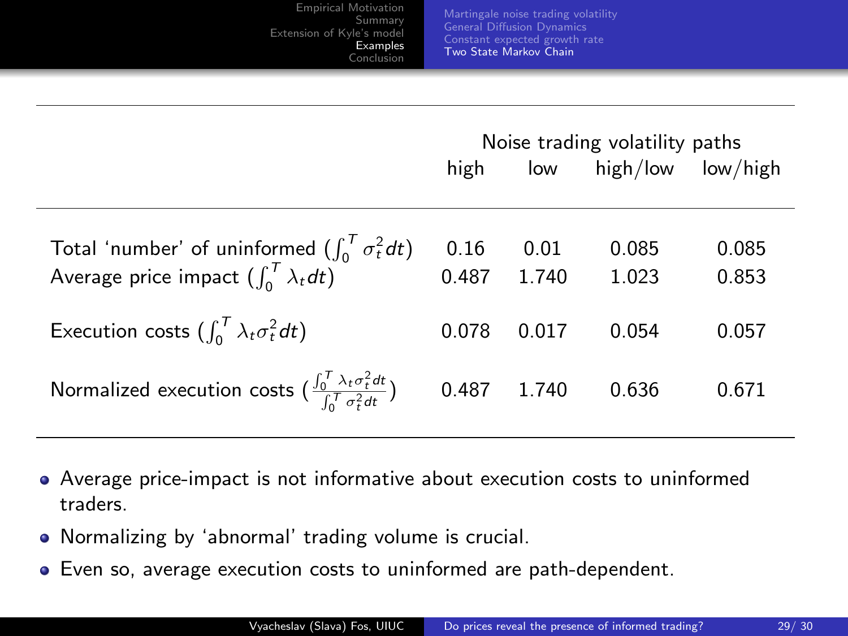| <b>Empirical Motivation</b><br>Summary<br>Extension of Kyle's model<br>Examples<br>Conclusion | Martingale noise trading volatility<br><b>General Diffusion Dynamics</b><br>Constant expected growth rate<br>Two State Markov Chain |
|-----------------------------------------------------------------------------------------------|-------------------------------------------------------------------------------------------------------------------------------------|
|                                                                                               |                                                                                                                                     |

|                                                                                                           | Noise trading volatility paths |       |          |          |
|-----------------------------------------------------------------------------------------------------------|--------------------------------|-------|----------|----------|
|                                                                                                           | high                           | low   | high/low | low/high |
|                                                                                                           |                                |       |          |          |
| Total 'number' of uninformed $\int_0^T \sigma_t^2 dt$ )                                                   | 0.16                           | 0.01  | 0.085    | 0.085    |
| Average price impact $(\int_0^T \lambda_t dt)$                                                            | 0.487                          | 1.740 | 1.023    | 0.853    |
| Execution costs $\left(\int_0^T \lambda_t \sigma_t^2 dt\right)$                                           | 0.078                          | 0.017 | 0.054    | 0.057    |
| Normalized execution costs $\left(\frac{\int_0^l \lambda_t \sigma_t^2 dt}{\int_0^l \sigma_t^2 dt}\right)$ | 0.487                          | 1.740 | 0.636    | 0.671    |

- Average price-impact is not informative about execution costs to uninformed traders.
- Normalizing by 'abnormal' trading volume is crucial.
- Even so, average execution costs to uninformed are path-dependent.